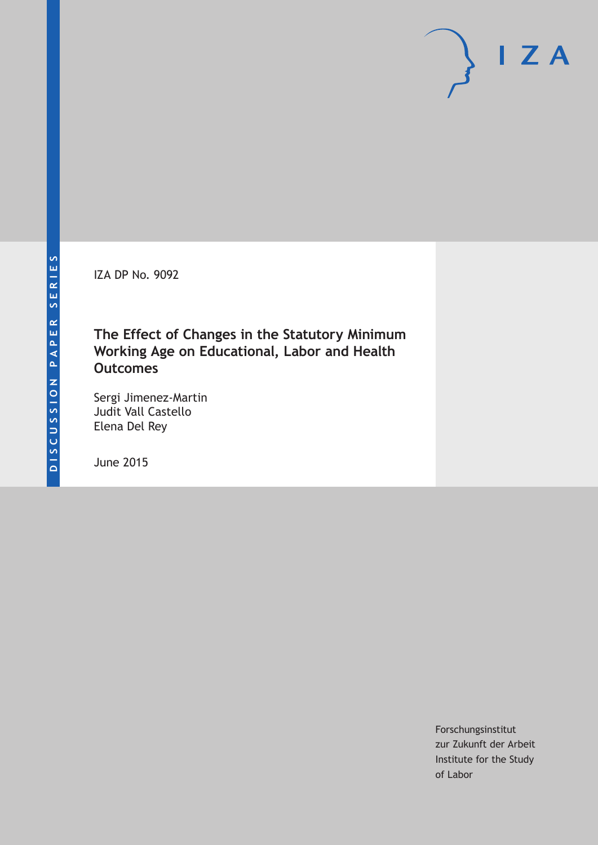IZA DP No. 9092

## **The Effect of Changes in the Statutory Minimum Working Age on Educational, Labor and Health Outcomes**

Sergi Jimenez-Martin Judit Vall Castello Elena Del Rey

June 2015

Forschungsinstitut zur Zukunft der Arbeit Institute for the Study of Labor

 $I Z A$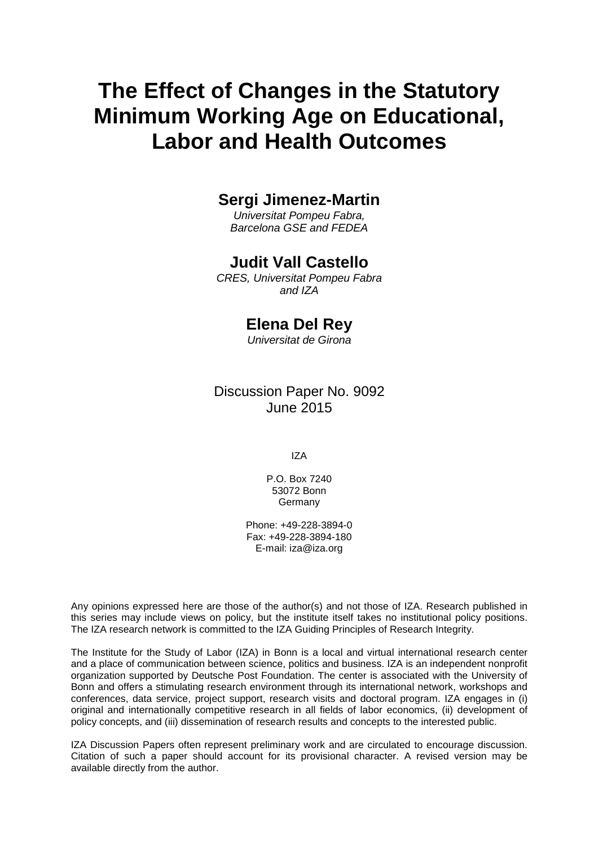# **The Effect of Changes in the Statutory Minimum Working Age on Educational, Labor and Health Outcomes**

## **Sergi Jimenez-Martin**

*Universitat Pompeu Fabra, Barcelona GSE and FEDEA*

### **Judit Vall Castello**

*CRES, Universitat Pompeu Fabra and IZA*

## **Elena Del Rey**

*Universitat de Girona*

Discussion Paper No. 9092 June 2015

IZA

P.O. Box 7240 53072 Bonn Germany

Phone: +49-228-3894-0 Fax: +49-228-3894-180 E-mail: iza@iza.org

Any opinions expressed here are those of the author(s) and not those of IZA. Research published in this series may include views on policy, but the institute itself takes no institutional policy positions. The IZA research network is committed to the IZA Guiding Principles of Research Integrity.

The Institute for the Study of Labor (IZA) in Bonn is a local and virtual international research center and a place of communication between science, politics and business. IZA is an independent nonprofit organization supported by Deutsche Post Foundation. The center is associated with the University of Bonn and offers a stimulating research environment through its international network, workshops and conferences, data service, project support, research visits and doctoral program. IZA engages in (i) original and internationally competitive research in all fields of labor economics, (ii) development of policy concepts, and (iii) dissemination of research results and concepts to the interested public.

<span id="page-1-0"></span>IZA Discussion Papers often represent preliminary work and are circulated to encourage discussion. Citation of such a paper should account for its provisional character. A revised version may be available directly from the author.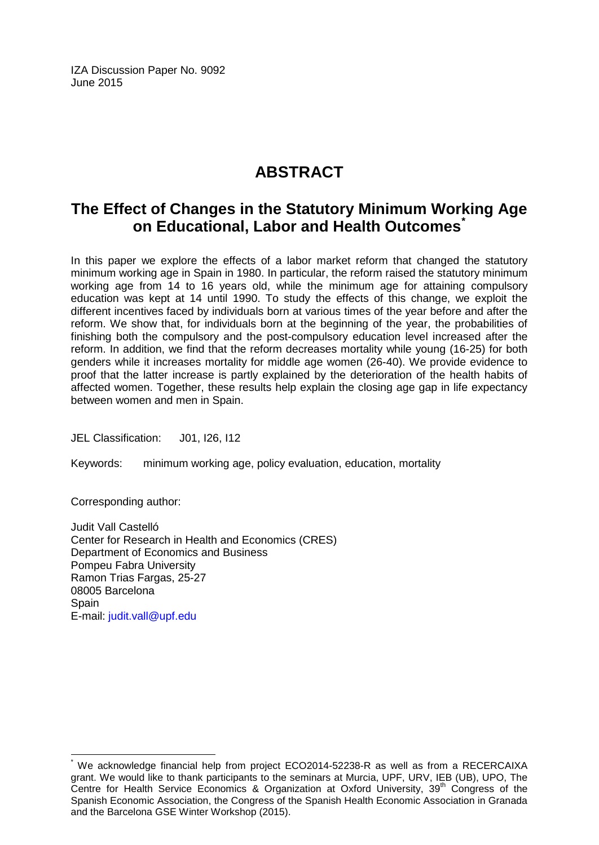IZA Discussion Paper No. 9092 June 2015

## **ABSTRACT**

## **The Effect of Changes in the Statutory Minimum Working Age on Educational, Labor and Health Outcomes[\\*](#page-1-0)**

In this paper we explore the effects of a labor market reform that changed the statutory minimum working age in Spain in 1980. In particular, the reform raised the statutory minimum working age from 14 to 16 years old, while the minimum age for attaining compulsory education was kept at 14 until 1990. To study the effects of this change, we exploit the different incentives faced by individuals born at various times of the year before and after the reform. We show that, for individuals born at the beginning of the year, the probabilities of finishing both the compulsory and the post-compulsory education level increased after the reform. In addition, we find that the reform decreases mortality while young (16-25) for both genders while it increases mortality for middle age women (26-40). We provide evidence to proof that the latter increase is partly explained by the deterioration of the health habits of affected women. Together, these results help explain the closing age gap in life expectancy between women and men in Spain.

JEL Classification: J01, I26, I12

Keywords: minimum working age, policy evaluation, education, mortality

Corresponding author:

Judit Vall Castelló Center for Research in Health and Economics (CRES) Department of Economics and Business Pompeu Fabra University Ramon Trias Fargas, 25-27 08005 Barcelona **Spain** E-mail: [judit.vall@upf.edu](mailto:judit.vall@upf.edu)

We acknowledge financial help from project ECO2014-52238-R as well as from a RECERCAIXA grant. We would like to thank participants to the seminars at Murcia, UPF, URV, IEB (UB), UPO, The Centre for Health Service Economics & Organization at Oxford University, 39<sup>th</sup> Congress of the Spanish Economic Association, the Congress of the Spanish Health Economic Association in Granada and the Barcelona GSE Winter Workshop (2015).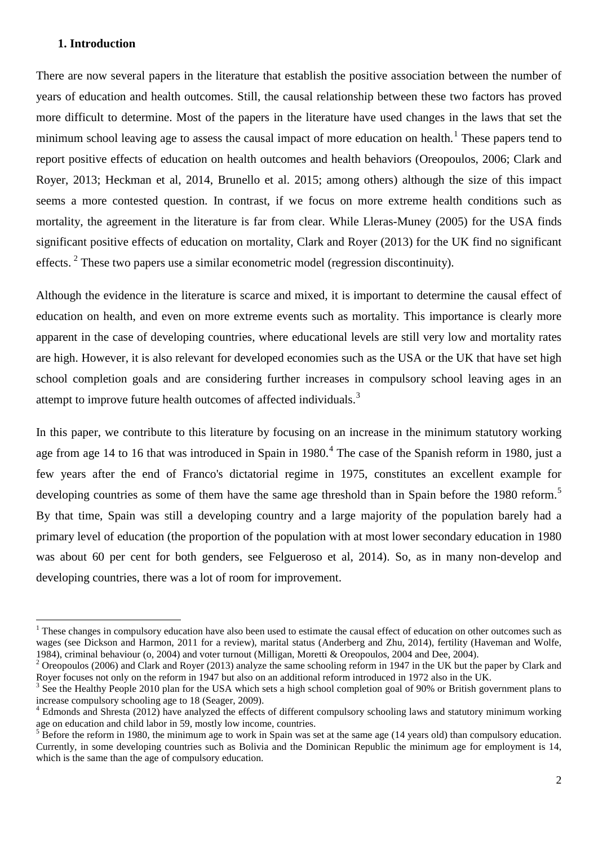#### **1. Introduction**

There are now several papers in the literature that establish the positive association between the number of years of education and health outcomes. Still, the causal relationship between these two factors has proved more difficult to determine. Most of the papers in the literature have used changes in the laws that set the minimum school leaving age to assess the causal impact of more education on health.<sup>1</sup> These papers tend to report positive effects of education on health outcomes and health behaviors (Oreopoulos, 2006; Clark and Royer, 2013; Heckman et al, 2014, Brunello et al. 2015; among others) although the size of this impact seems a more contested question. In contrast, if we focus on more extreme health conditions such as mortality, the agreement in the literature is far from clear. While Lleras-Muney (2005) for the USA finds significant positive effects of education on mortality, Clark and Royer (2013) for the UK find no significant effects.<sup>[2](#page-3-0)</sup> These two papers use a similar econometric model (regression discontinuity).

Although the evidence in the literature is scarce and mixed, it is important to determine the causal effect of education on health, and even on more extreme events such as mortality. This importance is clearly more apparent in the case of developing countries, where educational levels are still very low and mortality rates are high. However, it is also relevant for developed economies such as the USA or the UK that have set high school completion goals and are considering further increases in compulsory school leaving ages in an attempt to improve future health outcomes of affected individuals.<sup>[3](#page-3-1)</sup>

In this paper, we contribute to this literature by focusing on an increase in the minimum statutory working age from age 1[4](#page-3-2) to 16 that was introduced in Spain in 1980.<sup>4</sup> The case of the Spanish reform in 1980, just a few years after the end of Franco's dictatorial regime in 1975, constitutes an excellent example for developing countries as some of them have the same age threshold than in Spain before the 1980 reform.<sup>[5](#page-3-3)</sup> By that time, Spain was still a developing country and a large majority of the population barely had a primary level of education (the proportion of the population with at most lower secondary education in 1980 was about 60 per cent for both genders, see Felgueroso et al, 2014). So, as in many non-develop and developing countries, there was a lot of room for improvement.

<sup>&</sup>lt;sup>1</sup> These changes in compulsory education have also been used to estimate the causal effect of education on other outcomes such as wages (see Dickson and Harmon, 2011 for a review), marital status (Anderberg and Zhu, 2014), fertility (Haveman and Wolfe, 1984), criminal behaviour (o. 2004) and voter turnout (Milligan, Moretti & Oreopoulos, 2004 and Dee

<span id="page-3-0"></span> $2$  Oreopoulos (2006) and Clark and Royer (2013) analyze the same schooling reform in 1947 in the UK but the paper by Clark and Royer focuses not only on the reform in 1947 but also on an additional reform introduced in 1972 also in the UK.

<span id="page-3-1"></span>See the Healthy People 2010 plan for the USA which sets a high school completion goal of 90% or British government plans to increase compulsory schooling age to 18 (Seager, 2009).<br><sup>4</sup> Edmonds and Shresta (2012) have analyzed the effects of different compulsory schooling laws and statutory minimum working

<span id="page-3-2"></span>age on education and child labor in 59, mostly low income, countries.

<span id="page-3-3"></span> $5\overline{B}$  Before the reform in 1980, the minimum age to work in Spain was set at the same age (14 years old) than compulsory education. Currently, in some developing countries such as Bolivia and the Dominican Republic the minimum age for employment is 14, which is the same than the age of compulsory education.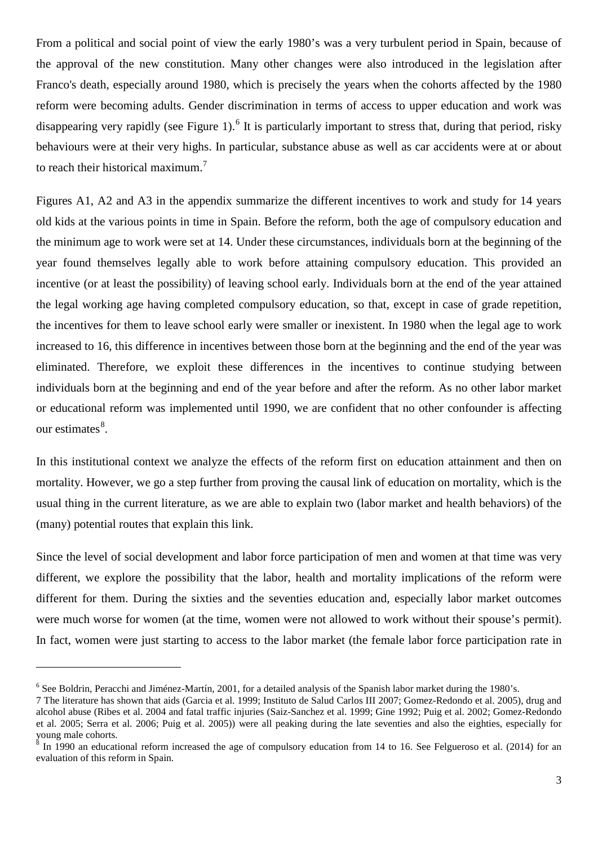From a political and social point of view the early 1980's was a very turbulent period in Spain, because of the approval of the new constitution. Many other changes were also introduced in the legislation after Franco's death, especially around 1980, which is precisely the years when the cohorts affected by the 1980 reform were becoming adults. Gender discrimination in terms of access to upper education and work was disappearing very rapidly (see Figure 1).<sup>[6](#page-3-1)</sup> It is particularly important to stress that, during that period, risky behaviours were at their very highs. In particular, substance abuse as well as car accidents were at or about to reach their historical maximum.<sup>[7](#page-4-0)</sup>

Figures A1, A2 and A3 in the appendix summarize the different incentives to work and study for 14 years old kids at the various points in time in Spain. Before the reform, both the age of compulsory education and the minimum age to work were set at 14. Under these circumstances, individuals born at the beginning of the year found themselves legally able to work before attaining compulsory education. This provided an incentive (or at least the possibility) of leaving school early. Individuals born at the end of the year attained the legal working age having completed compulsory education, so that, except in case of grade repetition, the incentives for them to leave school early were smaller or inexistent. In 1980 when the legal age to work increased to 16, this difference in incentives between those born at the beginning and the end of the year was eliminated. Therefore, we exploit these differences in the incentives to continue studying between individuals born at the beginning and end of the year before and after the reform. As no other labor market or educational reform was implemented until 1990, we are confident that no other confounder is affecting our estimates<sup>[8](#page-4-1)</sup>.

In this institutional context we analyze the effects of the reform first on education attainment and then on mortality. However, we go a step further from proving the causal link of education on mortality, which is the usual thing in the current literature, as we are able to explain two (labor market and health behaviors) of the (many) potential routes that explain this link.

Since the level of social development and labor force participation of men and women at that time was very different, we explore the possibility that the labor, health and mortality implications of the reform were different for them. During the sixties and the seventies education and, especially labor market outcomes were much worse for women (at the time, women were not allowed to work without their spouse's permit). In fact, women were just starting to access to the labor market (the female labor force participation rate in

-

 $6$  See Boldrin, Peracchi and Jiménez-Martín, 2001, for a detailed analysis of the Spanish labor market during the 1980's.

<span id="page-4-0"></span><sup>7</sup> The literature has shown that aids (Garcia et al. 1999; Instituto de Salud Carlos III 2007; Gomez-Redondo et al. 2005), drug and alcohol abuse (Ribes et al. 2004 and fatal traffic injuries (Saiz-Sanchez et al. 1999; Gine 1992; Puig et al. 2002; Gomez-Redondo et al. 2005; Serra et al. 2006; Puig et al. 2005)) were all peaking during the late seventies and also the eighties, especially for young male cohorts.

<span id="page-4-2"></span><span id="page-4-1"></span><sup>8</sup> In 1990 an educational reform increased the age of compulsory education from 14 to 16. See Felgueroso et al. (2014) for an evaluation of this reform in Spain.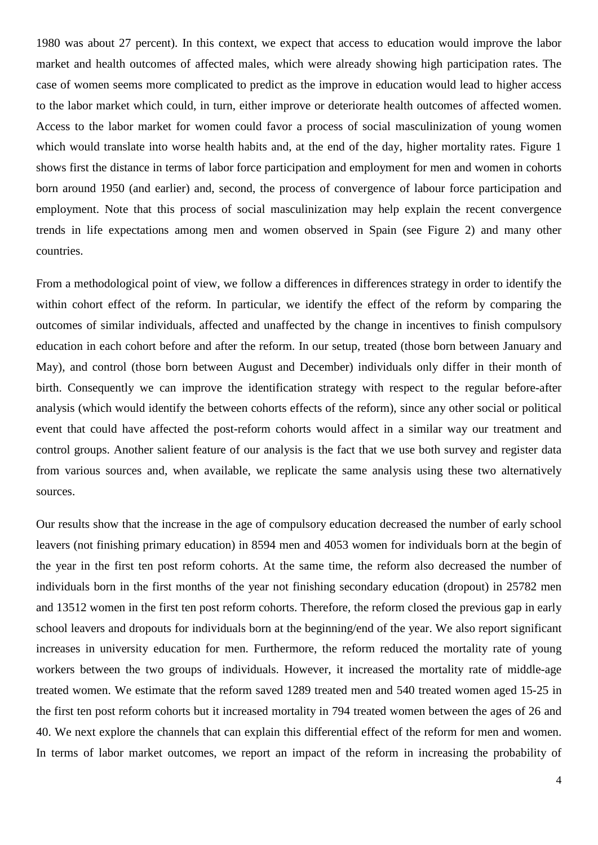1980 was about 27 percent). In this context, we expect that access to education would improve the labor market and health outcomes of affected males, which were already showing high participation rates. The case of women seems more complicated to predict as the improve in education would lead to higher access to the labor market which could, in turn, either improve or deteriorate health outcomes of affected women. Access to the labor market for women could favor a process of social masculinization of young women which would translate into worse health habits and, at the end of the day, higher mortality rates. Figure 1 shows first the distance in terms of labor force participation and employment for men and women in cohorts born around 1950 (and earlier) and, second, the process of convergence of labour force participation and employment. Note that this process of social masculinization may help explain the recent convergence trends in life expectations among men and women observed in Spain (see Figure 2) and many other countries.

From a methodological point of view, we follow a differences in differences strategy in order to identify the within cohort effect of the reform. In particular, we identify the effect of the reform by comparing the outcomes of similar individuals, affected and unaffected by the change in incentives to finish compulsory education in each cohort before and after the reform. In our setup, treated (those born between January and May), and control (those born between August and December) individuals only differ in their month of birth. Consequently we can improve the identification strategy with respect to the regular before-after analysis (which would identify the between cohorts effects of the reform), since any other social or political event that could have affected the post-reform cohorts would affect in a similar way our treatment and control groups. Another salient feature of our analysis is the fact that we use both survey and register data from various sources and, when available, we replicate the same analysis using these two alternatively sources.

Our results show that the increase in the age of compulsory education decreased the number of early school leavers (not finishing primary education) in 8594 men and 4053 women for individuals born at the begin of the year in the first ten post reform cohorts. At the same time, the reform also decreased the number of individuals born in the first months of the year not finishing secondary education (dropout) in 25782 men and 13512 women in the first ten post reform cohorts. Therefore, the reform closed the previous gap in early school leavers and dropouts for individuals born at the beginning/end of the year. We also report significant increases in university education for men. Furthermore, the reform reduced the mortality rate of young workers between the two groups of individuals. However, it increased the mortality rate of middle-age treated women. We estimate that the reform saved 1289 treated men and 540 treated women aged 15-25 in the first ten post reform cohorts but it increased mortality in 794 treated women between the ages of 26 and 40. We next explore the channels that can explain this differential effect of the reform for men and women. In terms of labor market outcomes, we report an impact of the reform in increasing the probability of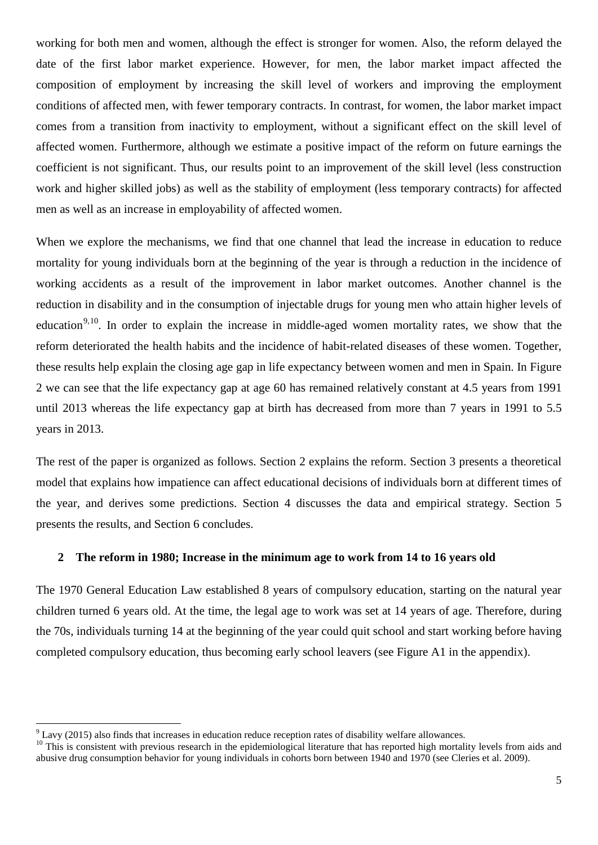working for both men and women, although the effect is stronger for women. Also, the reform delayed the date of the first labor market experience. However, for men, the labor market impact affected the composition of employment by increasing the skill level of workers and improving the employment conditions of affected men, with fewer temporary contracts. In contrast, for women, the labor market impact comes from a transition from inactivity to employment, without a significant effect on the skill level of affected women. Furthermore, although we estimate a positive impact of the reform on future earnings the coefficient is not significant. Thus, our results point to an improvement of the skill level (less construction work and higher skilled jobs) as well as the stability of employment (less temporary contracts) for affected men as well as an increase in employability of affected women.

When we explore the mechanisms, we find that one channel that lead the increase in education to reduce mortality for young individuals born at the beginning of the year is through a reduction in the incidence of working accidents as a result of the improvement in labor market outcomes. Another channel is the reduction in disability and in the consumption of injectable drugs for young men who attain higher levels of education<sup>[9](#page-4-2),10</sup>. In order to explain the increase in middle-aged women mortality rates, we show that the reform deteriorated the health habits and the incidence of habit-related diseases of these women. Together, these results help explain the closing age gap in life expectancy between women and men in Spain. In Figure 2 we can see that the life expectancy gap at age 60 has remained relatively constant at 4.5 years from 1991 until 2013 whereas the life expectancy gap at birth has decreased from more than 7 years in 1991 to 5.5 years in 2013.

The rest of the paper is organized as follows. Section 2 explains the reform. Section 3 presents a theoretical model that explains how impatience can affect educational decisions of individuals born at different times of the year, and derives some predictions. Section 4 discusses the data and empirical strategy. Section 5 presents the results, and Section 6 concludes.

#### **2 The reform in 1980; Increase in the minimum age to work from 14 to 16 years old**

The 1970 General Education Law established 8 years of compulsory education, starting on the natural year children turned 6 years old. At the time, the legal age to work was set at 14 years of age. Therefore, during the 70s, individuals turning 14 at the beginning of the year could quit school and start working before having completed compulsory education, thus becoming early school leavers (see Figure A1 in the appendix).

<span id="page-6-1"></span> $9$  Lavy (2015) also finds that increases in education reduce reception rates of disability welfare allowances.

<span id="page-6-0"></span><sup>&</sup>lt;sup>10</sup> This is consistent with previous research in the epidemiological literature that has reported high mortality levels from aids and abusive drug consumption behavior for young individuals in cohorts born between 1940 and 1970 (see Cleries et al. 2009).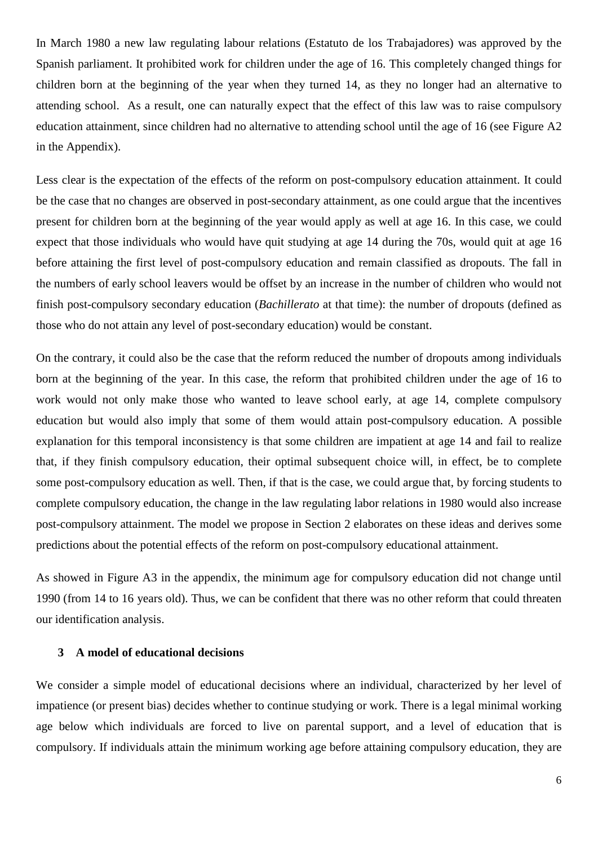In March 1980 a new law regulating labour relations (Estatuto de los Trabajadores) was approved by the Spanish parliament. It prohibited work for children under the age of 16. This completely changed things for children born at the beginning of the year when they turned 14, as they no longer had an alternative to attending school. As a result, one can naturally expect that the effect of this law was to raise compulsory education attainment, since children had no alternative to attending school until the age of 16 (see Figure A2 in the Appendix).

Less clear is the expectation of the effects of the reform on post-compulsory education attainment. It could be the case that no changes are observed in post-secondary attainment, as one could argue that the incentives present for children born at the beginning of the year would apply as well at age 16. In this case, we could expect that those individuals who would have quit studying at age 14 during the 70s, would quit at age 16 before attaining the first level of post-compulsory education and remain classified as dropouts. The fall in the numbers of early school leavers would be offset by an increase in the number of children who would not finish post-compulsory secondary education (*Bachillerato* at that time): the number of dropouts (defined as those who do not attain any level of post-secondary education) would be constant.

On the contrary, it could also be the case that the reform reduced the number of dropouts among individuals born at the beginning of the year. In this case, the reform that prohibited children under the age of 16 to work would not only make those who wanted to leave school early, at age 14, complete compulsory education but would also imply that some of them would attain post-compulsory education. A possible explanation for this temporal inconsistency is that some children are impatient at age 14 and fail to realize that, if they finish compulsory education, their optimal subsequent choice will, in effect, be to complete some post-compulsory education as well. Then, if that is the case, we could argue that, by forcing students to complete compulsory education, the change in the law regulating labor relations in 1980 would also increase post-compulsory attainment. The model we propose in Section 2 elaborates on these ideas and derives some predictions about the potential effects of the reform on post-compulsory educational attainment.

As showed in Figure A3 in the appendix, the minimum age for compulsory education did not change until 1990 (from 14 to 16 years old). Thus, we can be confident that there was no other reform that could threaten our identification analysis.

#### **3 A model of educational decisions**

We consider a simple model of educational decisions where an individual, characterized by her level of impatience (or present bias) decides whether to continue studying or work. There is a legal minimal working age below which individuals are forced to live on parental support, and a level of education that is compulsory. If individuals attain the minimum working age before attaining compulsory education, they are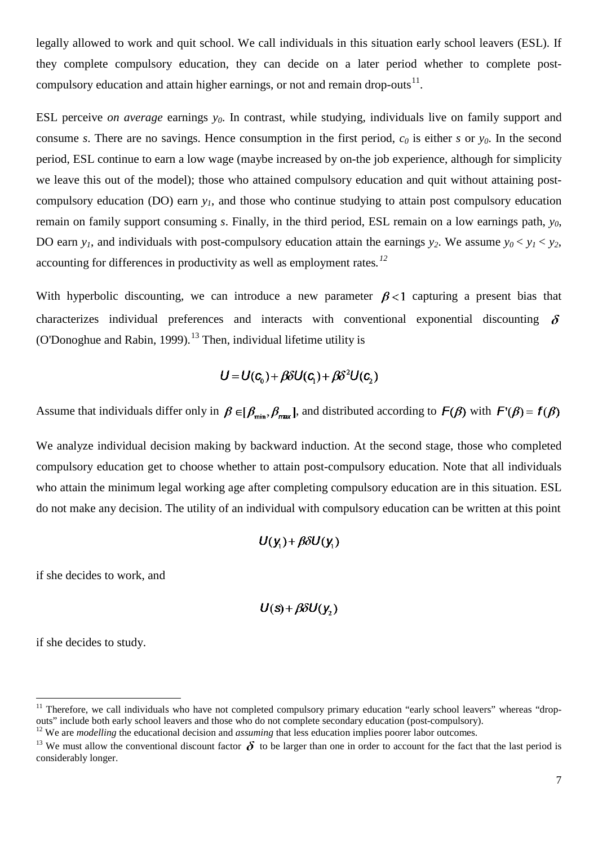legally allowed to work and quit school. We call individuals in this situation early school leavers (ESL). If they complete compulsory education, they can decide on a later period whether to complete postcompulsory education and attain higher earnings, or not and remain drop-outs $^{11}$  $^{11}$  $^{11}$ .

ESL perceive *on average* earnings  $y_0$ . In contrast, while studying, individuals live on family support and consume *s*. There are no savings. Hence consumption in the first period,  $c_0$  is either *s* or  $y_0$ . In the second period, ESL continue to earn a low wage (maybe increased by on-the job experience, although for simplicity we leave this out of the model); those who attained compulsory education and quit without attaining postcompulsory education (DO) earn *y1*, and those who continue studying to attain post compulsory education remain on family support consuming *s*. Finally, in the third period, ESL remain on a low earnings path, *y0*, DO earn  $y_1$ , and individuals with post-compulsory education attain the earnings  $y_2$ . We assume  $y_0 < y_1 < y_2$ , accounting for differences in productivity as well as employment rates*. [12](#page-8-0)*

With hyperbolic discounting, we can introduce a new parameter  $\beta < 1$  capturing a present bias that characterizes individual preferences and interacts with conventional exponential discounting  $\delta$ (O'Donoghue and Rabin, 1999).<sup>[13](#page-8-1)</sup> Then, individual lifetime utility is

$$
U = U(c_0) + \beta \delta U(c_1) + \beta \delta^2 U(c_2)
$$

Assume that individuals differ only in  $\beta \in [\beta_{\min}, \beta_{\max}]$ , and distributed according to  $F(\beta)$  with  $F'(\beta) = f(\beta)$ 

We analyze individual decision making by backward induction. At the second stage, those who completed compulsory education get to choose whether to attain post-compulsory education. Note that all individuals who attain the minimum legal working age after completing compulsory education are in this situation. ESL do not make any decision. The utility of an individual with compulsory education can be written at this point

$$
U(y_1) + \beta \delta U(y_1)
$$

if she decides to work, and

$$
U(s) + \beta \delta U(y_2)
$$

if she decides to study.

<span id="page-8-2"></span><sup>&</sup>lt;sup>11</sup> Therefore, we call individuals who have not completed compulsory primary education "early school leavers" whereas "drop-<br>outs" include both early school leavers and those who do not complete secondary education (post

<span id="page-8-0"></span> $12$  We are *modelling* the educational decision and *assuming* that less education implies poorer labor outcomes.

<span id="page-8-1"></span><sup>&</sup>lt;sup>13</sup> We must allow the conventional discount factor  $\delta$  to be larger than one in order to account for the fact that the last period is considerably longer.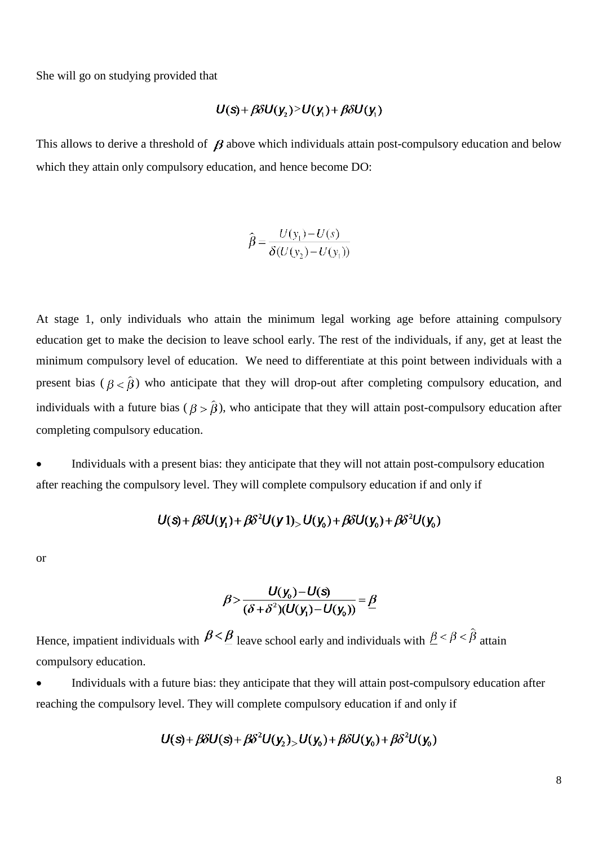She will go on studying provided that

$$
U(s) + \beta \delta U(y_2) > U(y_1) + \beta \delta U(y_1)
$$

This allows to derive a threshold of  $\beta$  above which individuals attain post-compulsory education and below which they attain only compulsory education, and hence become DO:

$$
\hat{\beta} = \frac{U(y_1) - U(s)}{\delta(U(y_2) - U(y_1))}
$$

At stage 1, only individuals who attain the minimum legal working age before attaining compulsory education get to make the decision to leave school early. The rest of the individuals, if any, get at least the minimum compulsory level of education. We need to differentiate at this point between individuals with a present bias ( $\beta < \hat{\beta}$ ) who anticipate that they will drop-out after completing compulsory education, and individuals with a future bias ( $\beta > \hat{\beta}$ ), who anticipate that they will attain post-compulsory education after completing compulsory education.

• Individuals with a present bias: they anticipate that they will not attain post-compulsory education after reaching the compulsory level. They will complete compulsory education if and only if

$$
U(s) + \beta \delta U(y_1) + \beta \delta^2 U(y_1) - U(y_0) + \beta \delta U(y_0) + \beta \delta^2 U(y_0)
$$

or

$$
\beta > \frac{U(y_0) - U(s)}{(\delta + \delta^2)(U(y_1) - U(y_0))} = \underline{\beta}
$$

Hence, impatient individuals with  $\beta \leq \beta$  leave school early and individuals with  $\beta \leq \beta \leq \hat{\beta}$  attain compulsory education.

• Individuals with a future bias: they anticipate that they will attain post-compulsory education after reaching the compulsory level. They will complete compulsory education if and only if

$$
U(s) + \beta \delta U(s) + \beta \delta^2 U(y_2) > U(y_0) + \beta \delta U(y_0) + \beta \delta^2 U(y_0)
$$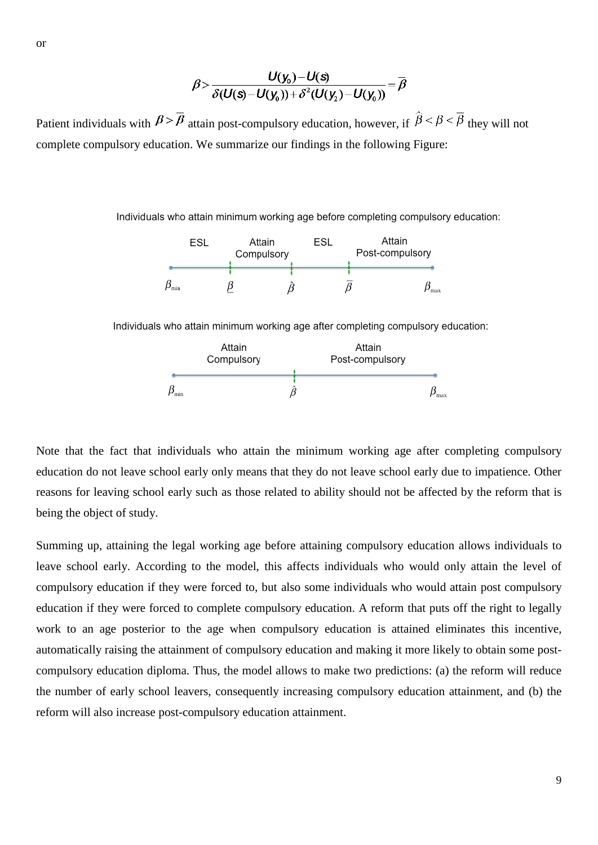$$
\beta > \frac{U(y_0)-U(s)}{\delta(U(s)-U(y_0))+\delta^2(U(y_2)-U(y_0))}=\overline{\beta}
$$

Patient individuals with  $\beta > \overline{\beta}$  attain post-compulsory education, however, if  $\hat{\beta} < \beta < \overline{\beta}$  they will not complete compulsory education. We summarize our findings in the following Figure:

Individuals who attain minimum working age before completing compulsory education:



Individuals who attain minimum working age after completing compulsory education:



Note that the fact that individuals who attain the minimum working age after completing compulsory education do not leave school early only means that they do not leave school early due to impatience. Other reasons for leaving school early such as those related to ability should not be affected by the reform that is being the object of study.

Summing up, attaining the legal working age before attaining compulsory education allows individuals to leave school early. According to the model, this affects individuals who would only attain the level of compulsory education if they were forced to, but also some individuals who would attain post compulsory education if they were forced to complete compulsory education. A reform that puts off the right to legally work to an age posterior to the age when compulsory education is attained eliminates this incentive, automatically raising the attainment of compulsory education and making it more likely to obtain some postcompulsory education diploma. Thus, the model allows to make two predictions: (a) the reform will reduce the number of early school leavers, consequently increasing compulsory education attainment, and (b) the reform will also increase post-compulsory education attainment.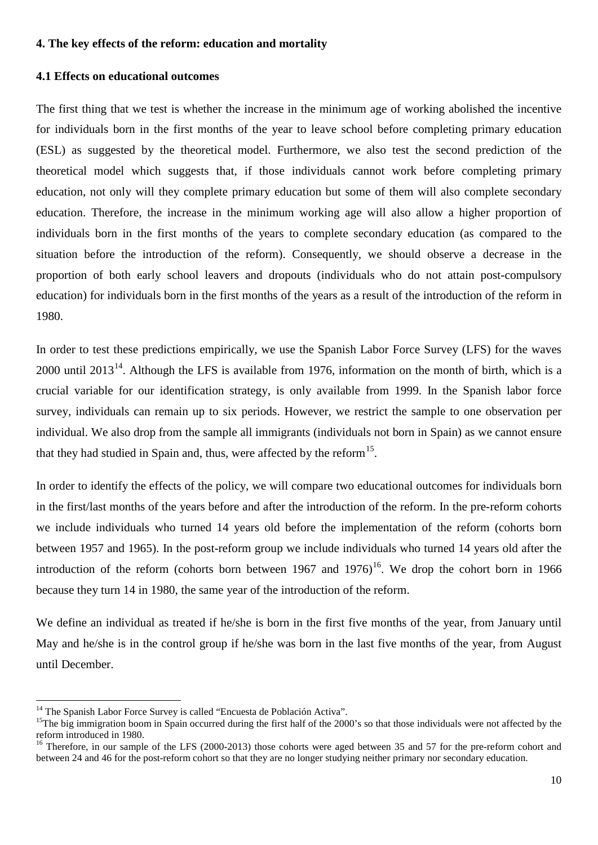#### **4. The key effects of the reform: education and mortality**

#### **4.1 Effects on educational outcomes**

The first thing that we test is whether the increase in the minimum age of working abolished the incentive for individuals born in the first months of the year to leave school before completing primary education (ESL) as suggested by the theoretical model. Furthermore, we also test the second prediction of the theoretical model which suggests that, if those individuals cannot work before completing primary education, not only will they complete primary education but some of them will also complete secondary education. Therefore, the increase in the minimum working age will also allow a higher proportion of individuals born in the first months of the years to complete secondary education (as compared to the situation before the introduction of the reform). Consequently, we should observe a decrease in the proportion of both early school leavers and dropouts (individuals who do not attain post-compulsory education) for individuals born in the first months of the years as a result of the introduction of the reform in 1980.

In order to test these predictions empirically, we use the Spanish Labor Force Survey (LFS) for the waves 2000 until  $2013^{14}$  $2013^{14}$  $2013^{14}$ . Although the LFS is available from 1976, information on the month of birth, which is a crucial variable for our identification strategy, is only available from 1999. In the Spanish labor force survey, individuals can remain up to six periods. However, we restrict the sample to one observation per individual. We also drop from the sample all immigrants (individuals not born in Spain) as we cannot ensure that they had studied in Spain and, thus, were affected by the reform  $15$ .

In order to identify the effects of the policy, we will compare two educational outcomes for individuals born in the first/last months of the years before and after the introduction of the reform. In the pre-reform cohorts we include individuals who turned 14 years old before the implementation of the reform (cohorts born between 1957 and 1965). In the post-reform group we include individuals who turned 14 years old after the introduction of the reform (cohorts born between 1967 and  $1976$ )<sup>16</sup>. We drop the cohort born in 1966 because they turn 14 in 1980, the same year of the introduction of the reform.

We define an individual as treated if he/she is born in the first five months of the year, from January until May and he/she is in the control group if he/she was born in the last five months of the year, from August until December.

<span id="page-11-2"></span><span id="page-11-0"></span><sup>&</sup>lt;sup>14</sup> The Spanish Labor Force Survey is called "Encuesta de Población Activa".<br><sup>15</sup>The big immigration boom in Spain occurred during the first half of the 2000's so that those individuals were not affected by the reform introduced in 1980.

<span id="page-11-1"></span><sup>&</sup>lt;sup>16</sup> Therefore, in our sample of the LFS (2000-2013) those cohorts were aged between 35 and 57 for the pre-reform cohort and between 24 and 46 for the post-reform cohort so that they are no longer studying neither primary nor secondary education.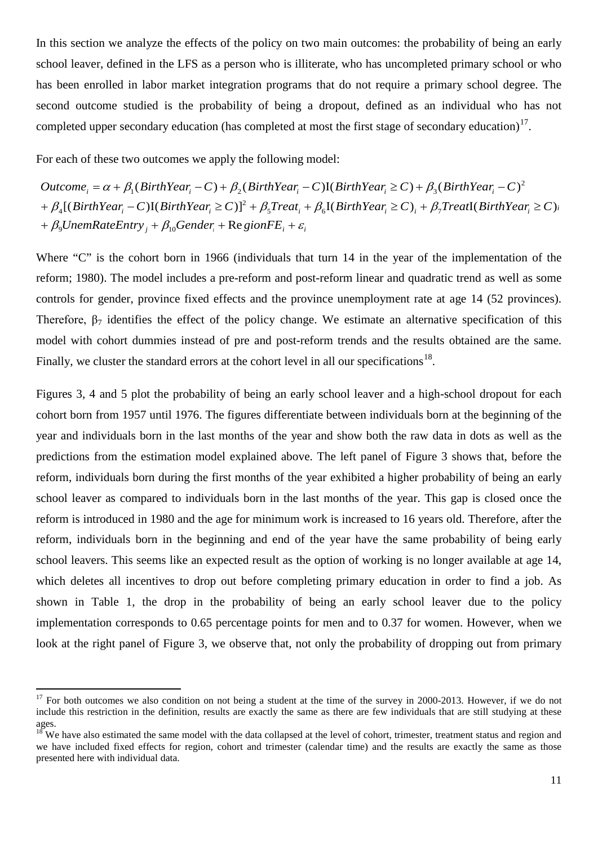In this section we analyze the effects of the policy on two main outcomes: the probability of being an early school leaver, defined in the LFS as a person who is illiterate, who has uncompleted primary school or who has been enrolled in labor market integration programs that do not require a primary school degree. The second outcome studied is the probability of being a dropout, defined as an individual who has not completed upper secondary education (has completed at most the first stage of secondary education)<sup>[17](#page-11-2)</sup>.

For each of these two outcomes we apply the following model:

 $+ \beta_{9}$ UnemRateEntry<sub>j</sub> +  $\beta_{10}$ Gender<sub>i</sub> + Re gionFE<sub>i</sub> +  $\varepsilon_{p}$  $+ \beta_4 [(BirthYear_i-C)(BirthYear_i\geq C)]^2 + \beta_5 Treat_i + \beta_6 [(BirthYear_i\geq C)_i + \beta_7 Treat[(BirthYear_i\geq C)_i]$  $Outcome_i = \alpha + \beta_1(BirthYear_i - C) + \beta_2(BirthYear_i - C)$  I(BirthYear<sub>i</sub>  $\geq C$ ) +  $\beta_3(BirthYear_i - C)^2$ 2 4  $\mu_1$ (*Dimiteur*<sub>i</sub> C)  $\mu_2$ (*Dimiteur*<sub>i</sub> C)(*Dimiteur*<sub>i</sub>  $\leq$ C)  $\mu_3$ 

Where "C" is the cohort born in 1966 (individuals that turn 14 in the year of the implementation of the reform; 1980). The model includes a pre-reform and post-reform linear and quadratic trend as well as some controls for gender, province fixed effects and the province unemployment rate at age 14 (52 provinces). Therefore,  $\beta_7$  identifies the effect of the policy change. We estimate an alternative specification of this model with cohort dummies instead of pre and post-reform trends and the results obtained are the same. Finally, we cluster the standard errors at the cohort level in all our specifications<sup>[18](#page-12-0)</sup>.

Figures 3, 4 and 5 plot the probability of being an early school leaver and a high-school dropout for each cohort born from 1957 until 1976. The figures differentiate between individuals born at the beginning of the year and individuals born in the last months of the year and show both the raw data in dots as well as the predictions from the estimation model explained above. The left panel of Figure 3 shows that, before the reform, individuals born during the first months of the year exhibited a higher probability of being an early school leaver as compared to individuals born in the last months of the year. This gap is closed once the reform is introduced in 1980 and the age for minimum work is increased to 16 years old. Therefore, after the reform, individuals born in the beginning and end of the year have the same probability of being early school leavers. This seems like an expected result as the option of working is no longer available at age 14, which deletes all incentives to drop out before completing primary education in order to find a job. As shown in Table 1, the drop in the probability of being an early school leaver due to the policy implementation corresponds to 0.65 percentage points for men and to 0.37 for women. However, when we look at the right panel of Figure 3, we observe that, not only the probability of dropping out from primary

<span id="page-12-1"></span> $17$  For both outcomes we also condition on not being a student at the time of the survey in 2000-2013. However, if we do not include this restriction in the definition, results are exactly the same as there are few individuals that are still studying at these ages.

<span id="page-12-0"></span><sup>&</sup>lt;sup>18</sup> We have also estimated the same model with the data collapsed at the level of cohort, trimester, treatment status and region and we have included fixed effects for region, cohort and trimester (calendar time) and the results are exactly the same as those presented here with individual data.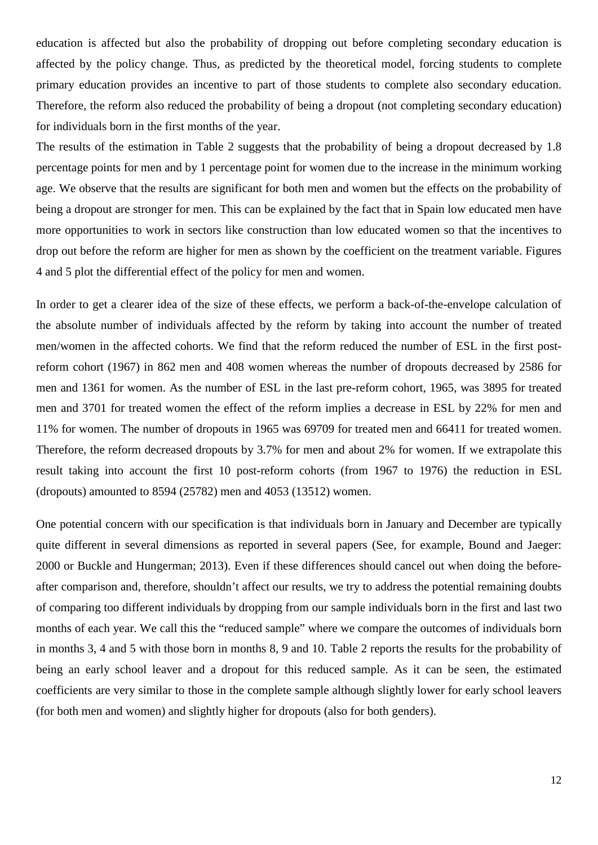education is affected but also the probability of dropping out before completing secondary education is affected by the policy change. Thus, as predicted by the theoretical model, forcing students to complete primary education provides an incentive to part of those students to complete also secondary education. Therefore, the reform also reduced the probability of being a dropout (not completing secondary education) for individuals born in the first months of the year.

The results of the estimation in Table 2 suggests that the probability of being a dropout decreased by 1.8 percentage points for men and by 1 percentage point for women due to the increase in the minimum working age. We observe that the results are significant for both men and women but the effects on the probability of being a dropout are stronger for men. This can be explained by the fact that in Spain low educated men have more opportunities to work in sectors like construction than low educated women so that the incentives to drop out before the reform are higher for men as shown by the coefficient on the treatment variable. Figures 4 and 5 plot the differential effect of the policy for men and women.

In order to get a clearer idea of the size of these effects, we perform a back-of-the-envelope calculation of the absolute number of individuals affected by the reform by taking into account the number of treated men/women in the affected cohorts. We find that the reform reduced the number of ESL in the first postreform cohort (1967) in 862 men and 408 women whereas the number of dropouts decreased by 2586 for men and 1361 for women. As the number of ESL in the last pre-reform cohort, 1965, was 3895 for treated men and 3701 for treated women the effect of the reform implies a decrease in ESL by 22% for men and 11% for women. The number of dropouts in 1965 was 69709 for treated men and 66411 for treated women. Therefore, the reform decreased dropouts by 3.7% for men and about 2% for women. If we extrapolate this result taking into account the first 10 post-reform cohorts (from 1967 to 1976) the reduction in ESL (dropouts) amounted to 8594 (25782) men and 4053 (13512) women.

One potential concern with our specification is that individuals born in January and December are typically quite different in several dimensions as reported in several papers (See, for example, Bound and Jaeger: 2000 or Buckle and Hungerman; 2013). Even if these differences should cancel out when doing the beforeafter comparison and, therefore, shouldn't affect our results, we try to address the potential remaining doubts of comparing too different individuals by dropping from our sample individuals born in the first and last two months of each year. We call this the "reduced sample" where we compare the outcomes of individuals born in months 3, 4 and 5 with those born in months 8, 9 and 10. Table 2 reports the results for the probability of being an early school leaver and a dropout for this reduced sample. As it can be seen, the estimated coefficients are very similar to those in the complete sample although slightly lower for early school leavers (for both men and women) and slightly higher for dropouts (also for both genders).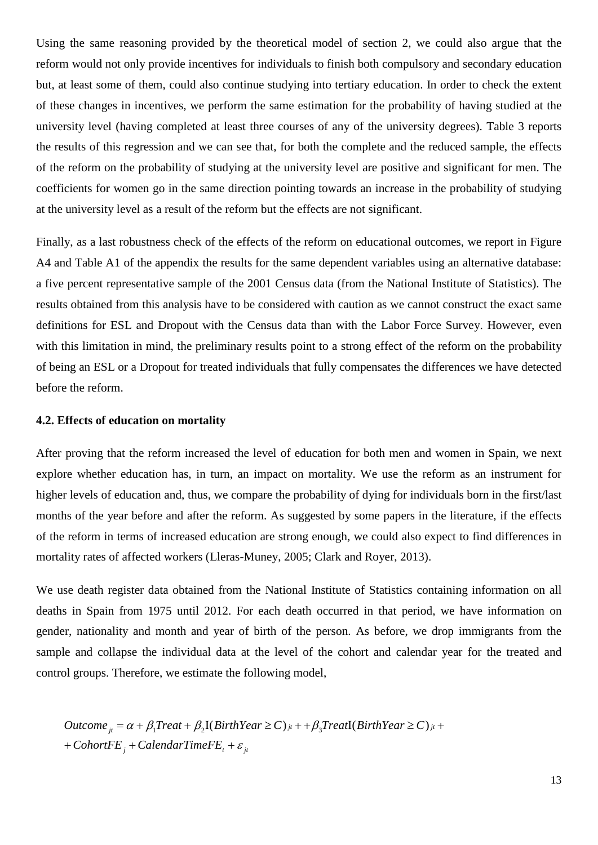Using the same reasoning provided by the theoretical model of section 2, we could also argue that the reform would not only provide incentives for individuals to finish both compulsory and secondary education but, at least some of them, could also continue studying into tertiary education. In order to check the extent of these changes in incentives, we perform the same estimation for the probability of having studied at the university level (having completed at least three courses of any of the university degrees). Table 3 reports the results of this regression and we can see that, for both the complete and the reduced sample, the effects of the reform on the probability of studying at the university level are positive and significant for men. The coefficients for women go in the same direction pointing towards an increase in the probability of studying at the university level as a result of the reform but the effects are not significant.

Finally, as a last robustness check of the effects of the reform on educational outcomes, we report in Figure A4 and Table A1 of the appendix the results for the same dependent variables using an alternative database: a five percent representative sample of the 2001 Census data (from the National Institute of Statistics). The results obtained from this analysis have to be considered with caution as we cannot construct the exact same definitions for ESL and Dropout with the Census data than with the Labor Force Survey. However, even with this limitation in mind, the preliminary results point to a strong effect of the reform on the probability of being an ESL or a Dropout for treated individuals that fully compensates the differences we have detected before the reform.

#### **4.2. Effects of education on mortality**

After proving that the reform increased the level of education for both men and women in Spain, we next explore whether education has, in turn, an impact on mortality. We use the reform as an instrument for higher levels of education and, thus, we compare the probability of dying for individuals born in the first/last months of the year before and after the reform. As suggested by some papers in the literature, if the effects of the reform in terms of increased education are strong enough, we could also expect to find differences in mortality rates of affected workers (Lleras-Muney, 2005; Clark and Royer, 2013).

We use death register data obtained from the National Institute of Statistics containing information on all deaths in Spain from 1975 until 2012. For each death occurred in that period, we have information on gender, nationality and month and year of birth of the person. As before, we drop immigrants from the sample and collapse the individual data at the level of the cohort and calendar year for the treated and control groups. Therefore, we estimate the following model,

 $+ \textit{CohortFE}_j + \textit{CalendarTimeFE}_t + \varepsilon_{ji}$  $Outcome_{jt} = \alpha + \beta_1 Treat + \beta_2 I(BirthYear \ge C)_{jt} + \beta_3 Treat(I(BirthYear \ge C)_{jt} +$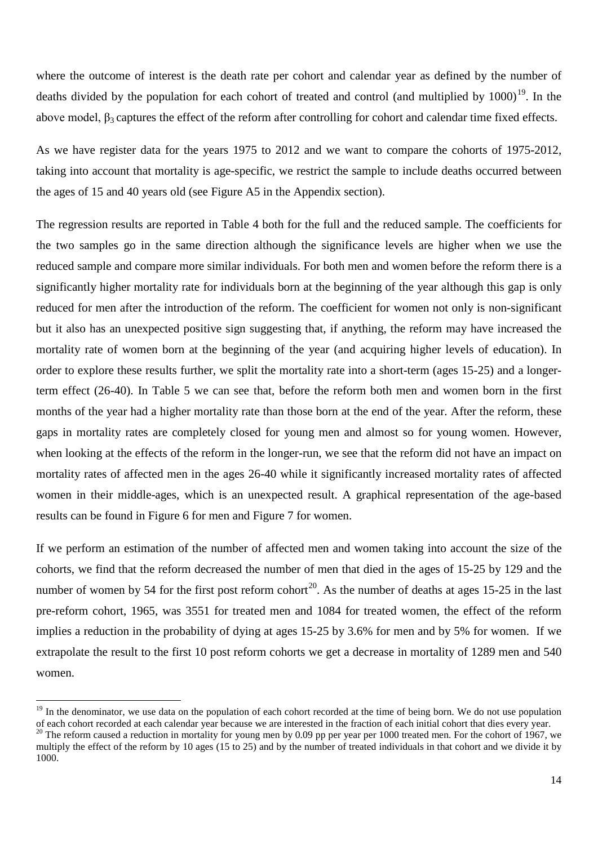where the outcome of interest is the death rate per cohort and calendar year as defined by the number of deaths divided by the population for each cohort of treated and control (and multiplied by  $1000$ )<sup>[19](#page-12-1)</sup>. In the above model,  $\beta_3$  captures the effect of the reform after controlling for cohort and calendar time fixed effects.

As we have register data for the years 1975 to 2012 and we want to compare the cohorts of 1975-2012, taking into account that mortality is age-specific, we restrict the sample to include deaths occurred between the ages of 15 and 40 years old (see Figure A5 in the Appendix section).

The regression results are reported in Table 4 both for the full and the reduced sample. The coefficients for the two samples go in the same direction although the significance levels are higher when we use the reduced sample and compare more similar individuals. For both men and women before the reform there is a significantly higher mortality rate for individuals born at the beginning of the year although this gap is only reduced for men after the introduction of the reform. The coefficient for women not only is non-significant but it also has an unexpected positive sign suggesting that, if anything, the reform may have increased the mortality rate of women born at the beginning of the year (and acquiring higher levels of education). In order to explore these results further, we split the mortality rate into a short-term (ages 15-25) and a longerterm effect (26-40). In Table 5 we can see that, before the reform both men and women born in the first months of the year had a higher mortality rate than those born at the end of the year. After the reform, these gaps in mortality rates are completely closed for young men and almost so for young women. However, when looking at the effects of the reform in the longer-run, we see that the reform did not have an impact on mortality rates of affected men in the ages 26-40 while it significantly increased mortality rates of affected women in their middle-ages, which is an unexpected result. A graphical representation of the age-based results can be found in Figure 6 for men and Figure 7 for women.

If we perform an estimation of the number of affected men and women taking into account the size of the cohorts, we find that the reform decreased the number of men that died in the ages of 15-25 by 129 and the number of women by 54 for the first post reform cohort<sup>[20](#page-15-0)</sup>. As the number of deaths at ages 15-25 in the last pre-reform cohort, 1965, was 3551 for treated men and 1084 for treated women, the effect of the reform implies a reduction in the probability of dying at ages 15-25 by 3.6% for men and by 5% for women. If we extrapolate the result to the first 10 post reform cohorts we get a decrease in mortality of 1289 men and 540 women.

<sup>&</sup>lt;sup>19</sup> In the denominator, we use data on the population of each cohort recorded at the time of being born. We do not use population of each cohort recorded at each calendar year because we are interested in the fraction of each initial cohort that dies every year.<br><sup>20</sup> The reform caused a reduction in mortality for young men by 0.09 pp per year per 10

<span id="page-15-0"></span>multiply the effect of the reform by 10 ages (15 to 25) and by the number of treated individuals in that cohort and we divide it by 1000.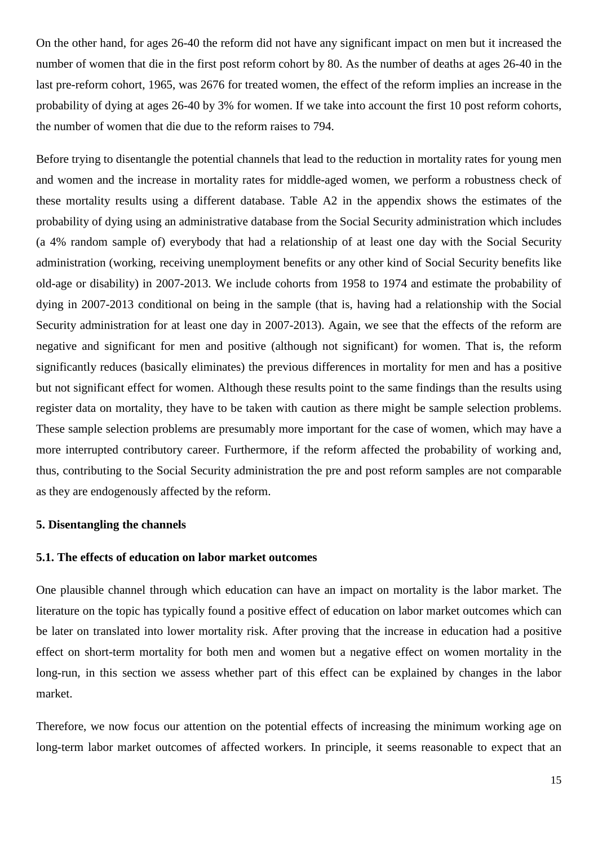On the other hand, for ages 26-40 the reform did not have any significant impact on men but it increased the number of women that die in the first post reform cohort by 80. As the number of deaths at ages 26-40 in the last pre-reform cohort, 1965, was 2676 for treated women, the effect of the reform implies an increase in the probability of dying at ages 26-40 by 3% for women. If we take into account the first 10 post reform cohorts, the number of women that die due to the reform raises to 794.

Before trying to disentangle the potential channels that lead to the reduction in mortality rates for young men and women and the increase in mortality rates for middle-aged women, we perform a robustness check of these mortality results using a different database. Table A2 in the appendix shows the estimates of the probability of dying using an administrative database from the Social Security administration which includes (a 4% random sample of) everybody that had a relationship of at least one day with the Social Security administration (working, receiving unemployment benefits or any other kind of Social Security benefits like old-age or disability) in 2007-2013. We include cohorts from 1958 to 1974 and estimate the probability of dying in 2007-2013 conditional on being in the sample (that is, having had a relationship with the Social Security administration for at least one day in 2007-2013). Again, we see that the effects of the reform are negative and significant for men and positive (although not significant) for women. That is, the reform significantly reduces (basically eliminates) the previous differences in mortality for men and has a positive but not significant effect for women. Although these results point to the same findings than the results using register data on mortality, they have to be taken with caution as there might be sample selection problems. These sample selection problems are presumably more important for the case of women, which may have a more interrupted contributory career. Furthermore, if the reform affected the probability of working and, thus, contributing to the Social Security administration the pre and post reform samples are not comparable as they are endogenously affected by the reform.

#### **5. Disentangling the channels**

#### **5.1. The effects of education on labor market outcomes**

One plausible channel through which education can have an impact on mortality is the labor market. The literature on the topic has typically found a positive effect of education on labor market outcomes which can be later on translated into lower mortality risk. After proving that the increase in education had a positive effect on short-term mortality for both men and women but a negative effect on women mortality in the long-run, in this section we assess whether part of this effect can be explained by changes in the labor market.

Therefore, we now focus our attention on the potential effects of increasing the minimum working age on long-term labor market outcomes of affected workers. In principle, it seems reasonable to expect that an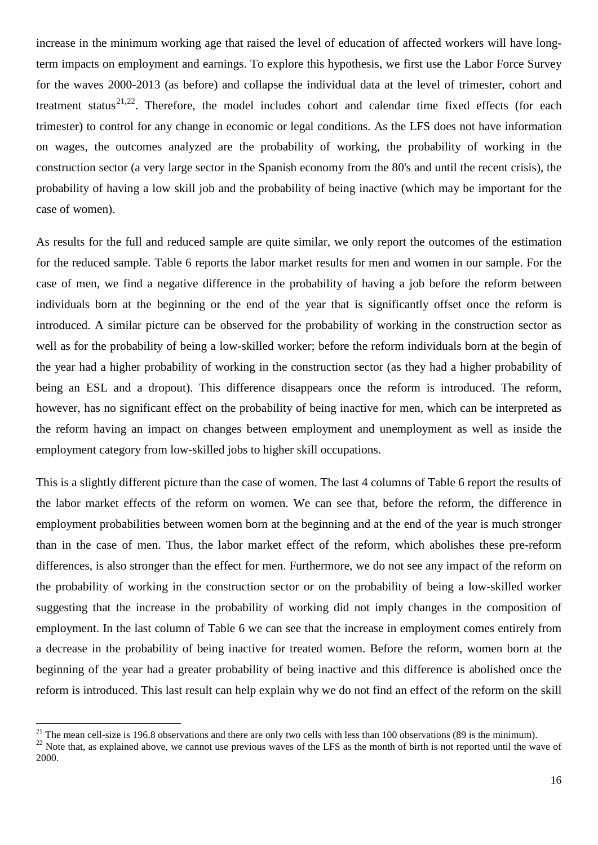increase in the minimum working age that raised the level of education of affected workers will have longterm impacts on employment and earnings. To explore this hypothesis, we first use the Labor Force Survey for the waves 2000-2013 (as before) and collapse the individual data at the level of trimester, cohort and treatment status<sup>[21](#page-15-0),22</sup>. Therefore, the model includes cohort and calendar time fixed effects (for each trimester) to control for any change in economic or legal conditions. As the LFS does not have information on wages, the outcomes analyzed are the probability of working, the probability of working in the construction sector (a very large sector in the Spanish economy from the 80's and until the recent crisis), the probability of having a low skill job and the probability of being inactive (which may be important for the case of women).

As results for the full and reduced sample are quite similar, we only report the outcomes of the estimation for the reduced sample. Table 6 reports the labor market results for men and women in our sample. For the case of men, we find a negative difference in the probability of having a job before the reform between individuals born at the beginning or the end of the year that is significantly offset once the reform is introduced. A similar picture can be observed for the probability of working in the construction sector as well as for the probability of being a low-skilled worker; before the reform individuals born at the begin of the year had a higher probability of working in the construction sector (as they had a higher probability of being an ESL and a dropout). This difference disappears once the reform is introduced. The reform, however, has no significant effect on the probability of being inactive for men, which can be interpreted as the reform having an impact on changes between employment and unemployment as well as inside the employment category from low-skilled jobs to higher skill occupations.

This is a slightly different picture than the case of women. The last 4 columns of Table 6 report the results of the labor market effects of the reform on women. We can see that, before the reform, the difference in employment probabilities between women born at the beginning and at the end of the year is much stronger than in the case of men. Thus, the labor market effect of the reform, which abolishes these pre-reform differences, is also stronger than the effect for men. Furthermore, we do not see any impact of the reform on the probability of working in the construction sector or on the probability of being a low-skilled worker suggesting that the increase in the probability of working did not imply changes in the composition of employment. In the last column of Table 6 we can see that the increase in employment comes entirely from a decrease in the probability of being inactive for treated women. Before the reform, women born at the beginning of the year had a greater probability of being inactive and this difference is abolished once the reform is introduced. This last result can help explain why we do not find an effect of the reform on the skill

<span id="page-17-0"></span>

<span id="page-17-1"></span><sup>&</sup>lt;sup>21</sup> The mean cell-size is 196.8 observations and there are only two cells with less than 100 observations (89 is the minimum).<br><sup>22</sup> Note that, as explained above, we cannot use previous waves of the LFS as the month of b 2000.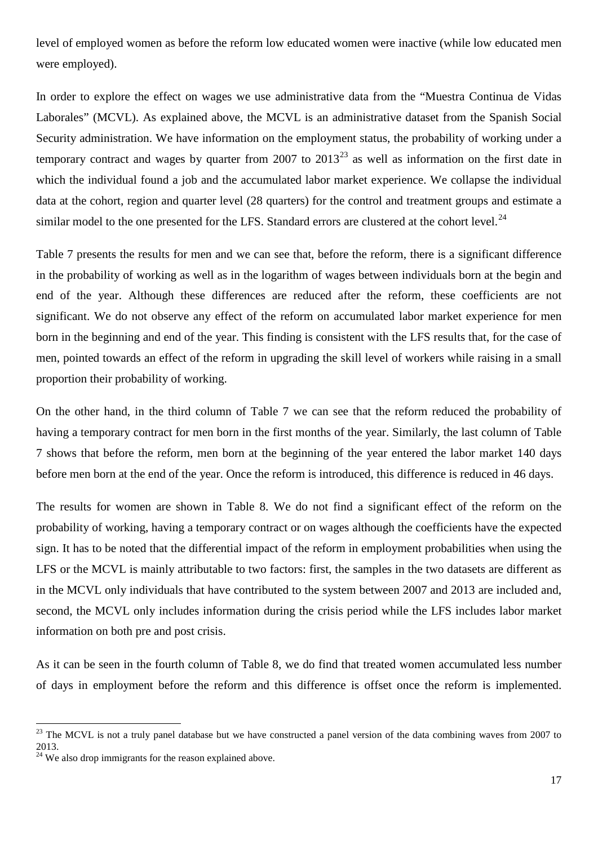level of employed women as before the reform low educated women were inactive (while low educated men were employed).

In order to explore the effect on wages we use administrative data from the "Muestra Continua de Vidas Laborales" (MCVL). As explained above, the MCVL is an administrative dataset from the Spanish Social Security administration. We have information on the employment status, the probability of working under a temporary contract and wages by quarter from 2007 to  $2013^{23}$  $2013^{23}$  $2013^{23}$  as well as information on the first date in which the individual found a job and the accumulated labor market experience. We collapse the individual data at the cohort, region and quarter level (28 quarters) for the control and treatment groups and estimate a similar model to the one presented for the LFS. Standard errors are clustered at the cohort level. $^{24}$  $^{24}$  $^{24}$ 

Table 7 presents the results for men and we can see that, before the reform, there is a significant difference in the probability of working as well as in the logarithm of wages between individuals born at the begin and end of the year. Although these differences are reduced after the reform, these coefficients are not significant. We do not observe any effect of the reform on accumulated labor market experience for men born in the beginning and end of the year. This finding is consistent with the LFS results that, for the case of men, pointed towards an effect of the reform in upgrading the skill level of workers while raising in a small proportion their probability of working.

On the other hand, in the third column of Table 7 we can see that the reform reduced the probability of having a temporary contract for men born in the first months of the year. Similarly, the last column of Table 7 shows that before the reform, men born at the beginning of the year entered the labor market 140 days before men born at the end of the year. Once the reform is introduced, this difference is reduced in 46 days.

The results for women are shown in Table 8. We do not find a significant effect of the reform on the probability of working, having a temporary contract or on wages although the coefficients have the expected sign. It has to be noted that the differential impact of the reform in employment probabilities when using the LFS or the MCVL is mainly attributable to two factors: first, the samples in the two datasets are different as in the MCVL only individuals that have contributed to the system between 2007 and 2013 are included and, second, the MCVL only includes information during the crisis period while the LFS includes labor market information on both pre and post crisis.

As it can be seen in the fourth column of Table 8, we do find that treated women accumulated less number of days in employment before the reform and this difference is offset once the reform is implemented.

<span id="page-18-1"></span><sup>&</sup>lt;sup>23</sup> The MCVL is not a truly panel database but we have constructed a panel version of the data combining waves from 2007 to 2013.

<span id="page-18-0"></span><sup>&</sup>lt;sup>24</sup> We also drop immigrants for the reason explained above.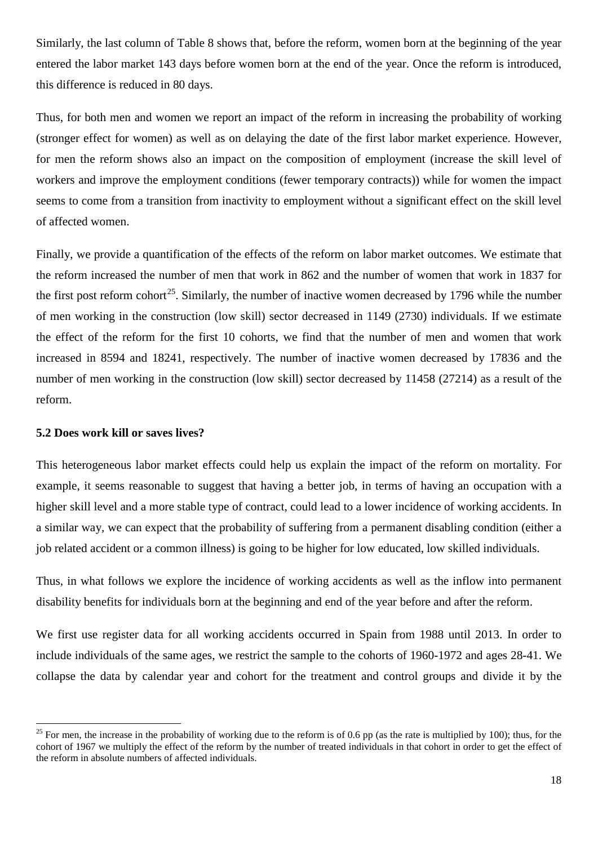Similarly, the last column of Table 8 shows that, before the reform, women born at the beginning of the year entered the labor market 143 days before women born at the end of the year. Once the reform is introduced, this difference is reduced in 80 days.

Thus, for both men and women we report an impact of the reform in increasing the probability of working (stronger effect for women) as well as on delaying the date of the first labor market experience. However, for men the reform shows also an impact on the composition of employment (increase the skill level of workers and improve the employment conditions (fewer temporary contracts)) while for women the impact seems to come from a transition from inactivity to employment without a significant effect on the skill level of affected women.

Finally, we provide a quantification of the effects of the reform on labor market outcomes. We estimate that the reform increased the number of men that work in 862 and the number of women that work in 1837 for the first post reform cohort<sup>25</sup>. Similarly, the number of inactive women decreased by 1796 while the number of men working in the construction (low skill) sector decreased in 1149 (2730) individuals. If we estimate the effect of the reform for the first 10 cohorts, we find that the number of men and women that work increased in 8594 and 18241, respectively. The number of inactive women decreased by 17836 and the number of men working in the construction (low skill) sector decreased by 11458 (27214) as a result of the reform.

#### **5.2 Does work kill or saves lives?**

This heterogeneous labor market effects could help us explain the impact of the reform on mortality. For example, it seems reasonable to suggest that having a better job, in terms of having an occupation with a higher skill level and a more stable type of contract, could lead to a lower incidence of working accidents. In a similar way, we can expect that the probability of suffering from a permanent disabling condition (either a job related accident or a common illness) is going to be higher for low educated, low skilled individuals.

Thus, in what follows we explore the incidence of working accidents as well as the inflow into permanent disability benefits for individuals born at the beginning and end of the year before and after the reform.

We first use register data for all working accidents occurred in Spain from 1988 until 2013. In order to include individuals of the same ages, we restrict the sample to the cohorts of 1960-1972 and ages 28-41. We collapse the data by calendar year and cohort for the treatment and control groups and divide it by the

<span id="page-19-0"></span><sup>&</sup>lt;sup>25</sup> For men, the increase in the probability of working due to the reform is of 0.6 pp (as the rate is multiplied by 100); thus, for the cohort of 1967 we multiply the effect of the reform by the number of treated individuals in that cohort in order to get the effect of the reform in absolute numbers of affected individuals.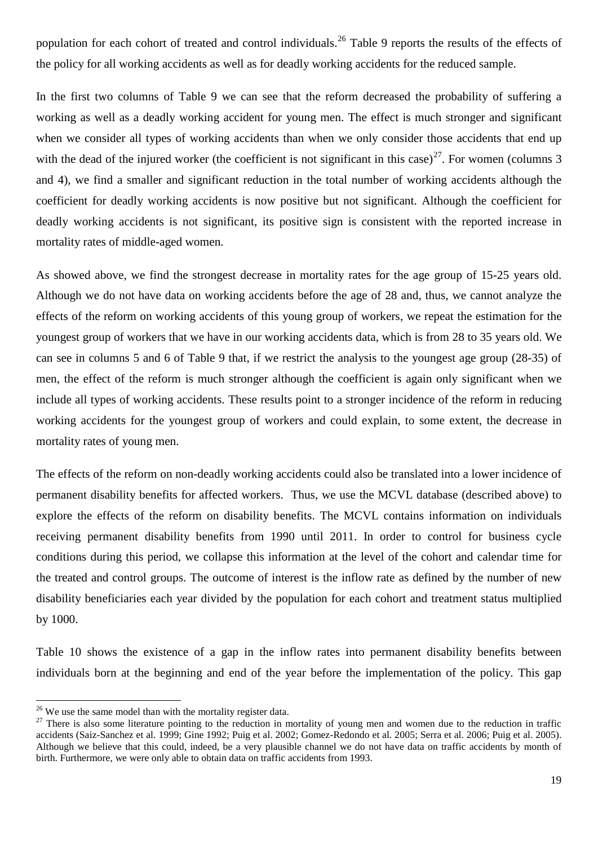population for each cohort of treated and control individuals.<sup>[26](#page-19-0)</sup> Table 9 reports the results of the effects of the policy for all working accidents as well as for deadly working accidents for the reduced sample.

In the first two columns of Table 9 we can see that the reform decreased the probability of suffering a working as well as a deadly working accident for young men. The effect is much stronger and significant when we consider all types of working accidents than when we only consider those accidents that end up with the dead of the injured worker (the coefficient is not significant in this case)<sup>[27](#page-20-0)</sup>. For women (columns 3 and 4), we find a smaller and significant reduction in the total number of working accidents although the coefficient for deadly working accidents is now positive but not significant. Although the coefficient for deadly working accidents is not significant, its positive sign is consistent with the reported increase in mortality rates of middle-aged women.

As showed above, we find the strongest decrease in mortality rates for the age group of 15-25 years old. Although we do not have data on working accidents before the age of 28 and, thus, we cannot analyze the effects of the reform on working accidents of this young group of workers, we repeat the estimation for the youngest group of workers that we have in our working accidents data, which is from 28 to 35 years old. We can see in columns 5 and 6 of Table 9 that, if we restrict the analysis to the youngest age group (28-35) of men, the effect of the reform is much stronger although the coefficient is again only significant when we include all types of working accidents. These results point to a stronger incidence of the reform in reducing working accidents for the youngest group of workers and could explain, to some extent, the decrease in mortality rates of young men.

The effects of the reform on non-deadly working accidents could also be translated into a lower incidence of permanent disability benefits for affected workers. Thus, we use the MCVL database (described above) to explore the effects of the reform on disability benefits. The MCVL contains information on individuals receiving permanent disability benefits from 1990 until 2011. In order to control for business cycle conditions during this period, we collapse this information at the level of the cohort and calendar time for the treated and control groups. The outcome of interest is the inflow rate as defined by the number of new disability beneficiaries each year divided by the population for each cohort and treatment status multiplied by 1000.

Table 10 shows the existence of a gap in the inflow rates into permanent disability benefits between individuals born at the beginning and end of the year before the implementation of the policy. This gap

<span id="page-20-1"></span><span id="page-20-0"></span>

<sup>&</sup>lt;sup>26</sup> We use the same model than with the mortality register data.<br><sup>27</sup> There is also some literature pointing to the reduction in mortality of young men and women due to the reduction in traffic accidents (Saiz-Sanchez et al. 1999; Gine 1992; Puig et al. 2002; Gomez-Redondo et al. 2005; Serra et al. 2006; Puig et al. 2005). Although we believe that this could, indeed, be a very plausible channel we do not have data on traffic accidents by month of birth. Furthermore, we were only able to obtain data on traffic accidents from 1993.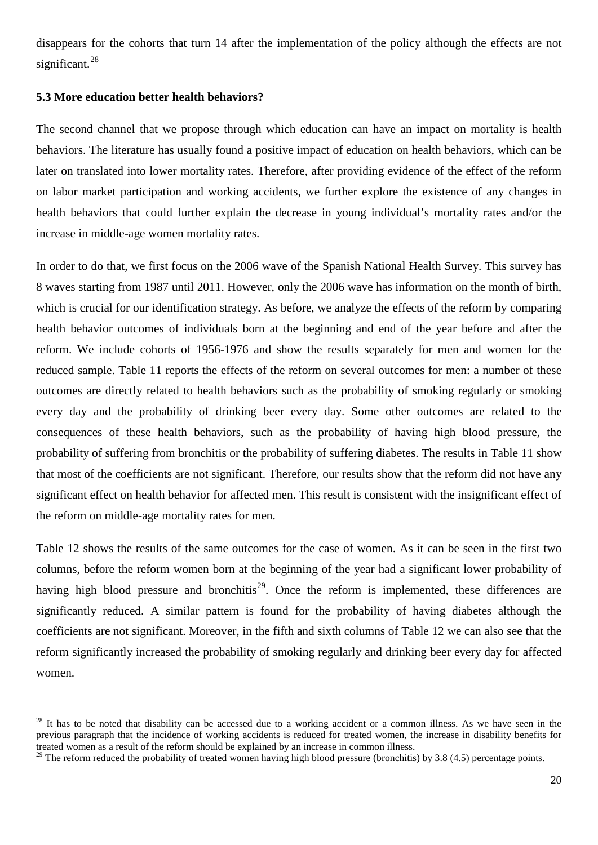disappears for the cohorts that turn 14 after the implementation of the policy although the effects are not significant.<sup>[28](#page-20-1)</sup>

#### **5.3 More education better health behaviors?**

<u>.</u>

The second channel that we propose through which education can have an impact on mortality is health behaviors. The literature has usually found a positive impact of education on health behaviors, which can be later on translated into lower mortality rates. Therefore, after providing evidence of the effect of the reform on labor market participation and working accidents, we further explore the existence of any changes in health behaviors that could further explain the decrease in young individual's mortality rates and/or the increase in middle-age women mortality rates.

In order to do that, we first focus on the 2006 wave of the Spanish National Health Survey. This survey has 8 waves starting from 1987 until 2011. However, only the 2006 wave has information on the month of birth, which is crucial for our identification strategy. As before, we analyze the effects of the reform by comparing health behavior outcomes of individuals born at the beginning and end of the year before and after the reform. We include cohorts of 1956-1976 and show the results separately for men and women for the reduced sample. Table 11 reports the effects of the reform on several outcomes for men: a number of these outcomes are directly related to health behaviors such as the probability of smoking regularly or smoking every day and the probability of drinking beer every day. Some other outcomes are related to the consequences of these health behaviors, such as the probability of having high blood pressure, the probability of suffering from bronchitis or the probability of suffering diabetes. The results in Table 11 show that most of the coefficients are not significant. Therefore, our results show that the reform did not have any significant effect on health behavior for affected men. This result is consistent with the insignificant effect of the reform on middle-age mortality rates for men.

Table 12 shows the results of the same outcomes for the case of women. As it can be seen in the first two columns, before the reform women born at the beginning of the year had a significant lower probability of having high blood pressure and bronchitis<sup>[29](#page-21-0)</sup>. Once the reform is implemented, these differences are significantly reduced. A similar pattern is found for the probability of having diabetes although the coefficients are not significant. Moreover, in the fifth and sixth columns of Table 12 we can also see that the reform significantly increased the probability of smoking regularly and drinking beer every day for affected women.

 $^{28}$  It has to be noted that disability can be accessed due to a working accident or a common illness. As we have seen in the previous paragraph that the incidence of working accidents is reduced for treated women, the increase in disability benefits for treated women as a result of the reform should be explained by an increase in common illness.

<span id="page-21-1"></span><span id="page-21-0"></span><sup>&</sup>lt;sup>29</sup> The reform reduced the probability of treated women having high blood pressure (bronchitis) by 3.8 (4.5) percentage points.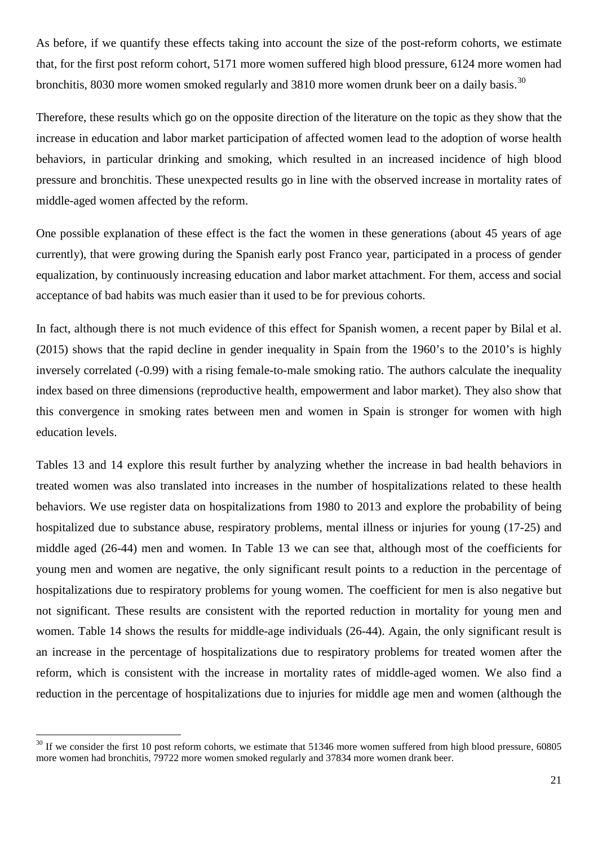As before, if we quantify these effects taking into account the size of the post-reform cohorts, we estimate that, for the first post reform cohort, 5171 more women suffered high blood pressure, 6124 more women had bronchitis, 80[30](#page-21-1) more women smoked regularly and 3810 more women drunk beer on a daily basis.<sup>30</sup>

Therefore, these results which go on the opposite direction of the literature on the topic as they show that the increase in education and labor market participation of affected women lead to the adoption of worse health behaviors, in particular drinking and smoking, which resulted in an increased incidence of high blood pressure and bronchitis. These unexpected results go in line with the observed increase in mortality rates of middle-aged women affected by the reform.

One possible explanation of these effect is the fact the women in these generations (about 45 years of age currently), that were growing during the Spanish early post Franco year, participated in a process of gender equalization, by continuously increasing education and labor market attachment. For them, access and social acceptance of bad habits was much easier than it used to be for previous cohorts.

In fact, although there is not much evidence of this effect for Spanish women, a recent paper by Bilal et al. (2015) shows that the rapid decline in gender inequality in Spain from the 1960's to the 2010's is highly inversely correlated (-0.99) with a rising female-to-male smoking ratio. The authors calculate the inequality index based on three dimensions (reproductive health, empowerment and labor market). They also show that this convergence in smoking rates between men and women in Spain is stronger for women with high education levels.

Tables 13 and 14 explore this result further by analyzing whether the increase in bad health behaviors in treated women was also translated into increases in the number of hospitalizations related to these health behaviors. We use register data on hospitalizations from 1980 to 2013 and explore the probability of being hospitalized due to substance abuse, respiratory problems, mental illness or injuries for young (17-25) and middle aged (26-44) men and women. In Table 13 we can see that, although most of the coefficients for young men and women are negative, the only significant result points to a reduction in the percentage of hospitalizations due to respiratory problems for young women. The coefficient for men is also negative but not significant. These results are consistent with the reported reduction in mortality for young men and women. Table 14 shows the results for middle-age individuals (26-44). Again, the only significant result is an increase in the percentage of hospitalizations due to respiratory problems for treated women after the reform, which is consistent with the increase in mortality rates of middle-aged women. We also find a reduction in the percentage of hospitalizations due to injuries for middle age men and women (although the

<span id="page-22-0"></span><sup>&</sup>lt;sup>30</sup> If we consider the first 10 post reform cohorts, we estimate that 51346 more women suffered from high blood pressure, 60805 more women had bronchitis, 79722 more women smoked regularly and 37834 more women drank beer.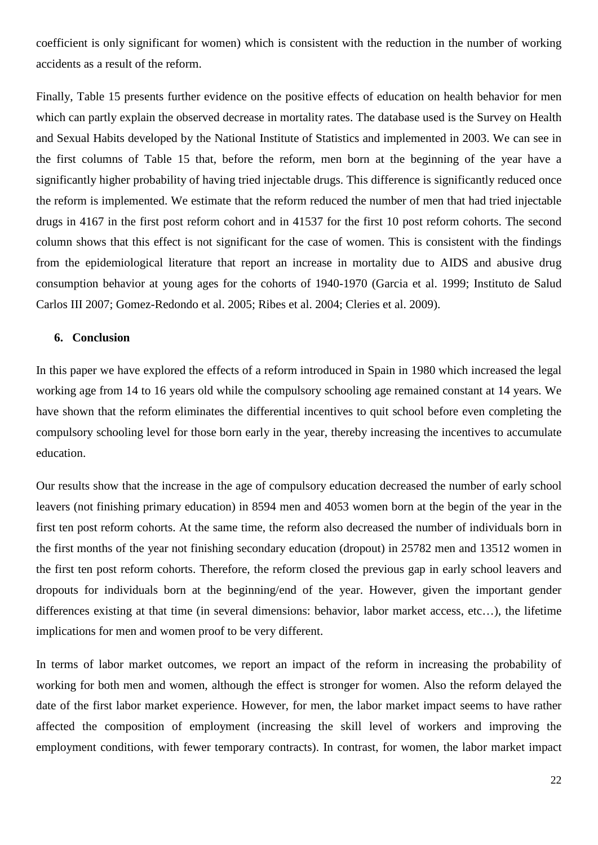coefficient is only significant for women) which is consistent with the reduction in the number of working accidents as a result of the reform.

Finally, Table 15 presents further evidence on the positive effects of education on health behavior for men which can partly explain the observed decrease in mortality rates. The database used is the Survey on Health and Sexual Habits developed by the National Institute of Statistics and implemented in 2003. We can see in the first columns of Table 15 that, before the reform, men born at the beginning of the year have a significantly higher probability of having tried injectable drugs. This difference is significantly reduced once the reform is implemented. We estimate that the reform reduced the number of men that had tried injectable drugs in 4167 in the first post reform cohort and in 41537 for the first 10 post reform cohorts. The second column shows that this effect is not significant for the case of women. This is consistent with the findings from the epidemiological literature that report an increase in mortality due to AIDS and abusive drug consumption behavior at young ages for the cohorts of 1940-1970 (Garcia et al. 1999; Instituto de Salud Carlos III 2007; Gomez-Redondo et al. 2005; Ribes et al. 2004; Cleries et al. 2009).

#### **6. Conclusion**

In this paper we have explored the effects of a reform introduced in Spain in 1980 which increased the legal working age from 14 to 16 years old while the compulsory schooling age remained constant at 14 years. We have shown that the reform eliminates the differential incentives to quit school before even completing the compulsory schooling level for those born early in the year, thereby increasing the incentives to accumulate education.

Our results show that the increase in the age of compulsory education decreased the number of early school leavers (not finishing primary education) in 8594 men and 4053 women born at the begin of the year in the first ten post reform cohorts. At the same time, the reform also decreased the number of individuals born in the first months of the year not finishing secondary education (dropout) in 25782 men and 13512 women in the first ten post reform cohorts. Therefore, the reform closed the previous gap in early school leavers and dropouts for individuals born at the beginning/end of the year. However, given the important gender differences existing at that time (in several dimensions: behavior, labor market access, etc…), the lifetime implications for men and women proof to be very different.

In terms of labor market outcomes, we report an impact of the reform in increasing the probability of working for both men and women, although the effect is stronger for women. Also the reform delayed the date of the first labor market experience. However, for men, the labor market impact seems to have rather affected the composition of employment (increasing the skill level of workers and improving the employment conditions, with fewer temporary contracts). In contrast, for women, the labor market impact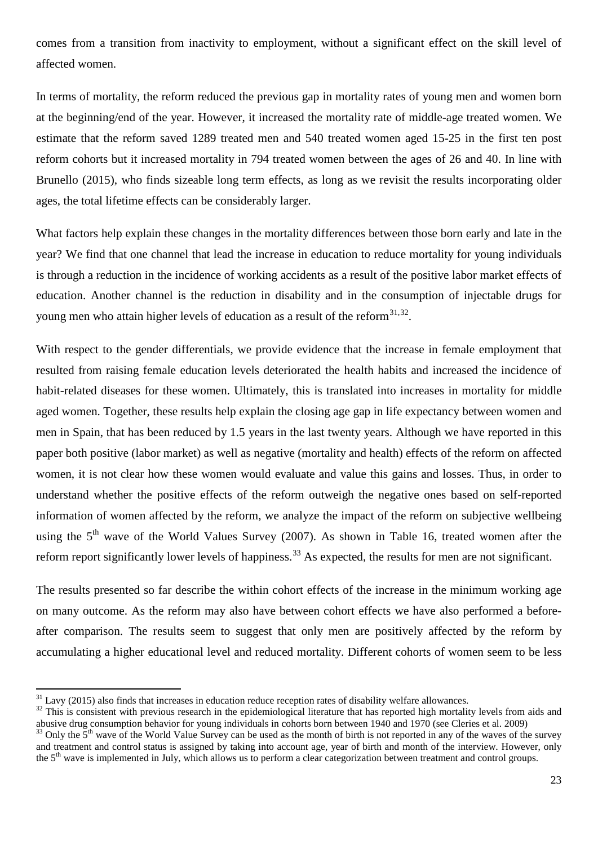comes from a transition from inactivity to employment, without a significant effect on the skill level of affected women.

In terms of mortality, the reform reduced the previous gap in mortality rates of young men and women born at the beginning/end of the year. However, it increased the mortality rate of middle-age treated women. We estimate that the reform saved 1289 treated men and 540 treated women aged 15-25 in the first ten post reform cohorts but it increased mortality in 794 treated women between the ages of 26 and 40. In line with Brunello (2015), who finds sizeable long term effects, as long as we revisit the results incorporating older ages, the total lifetime effects can be considerably larger.

What factors help explain these changes in the mortality differences between those born early and late in the year? We find that one channel that lead the increase in education to reduce mortality for young individuals is through a reduction in the incidence of working accidents as a result of the positive labor market effects of education. Another channel is the reduction in disability and in the consumption of injectable drugs for young men who attain higher levels of education as a result of the reform  $31,32$  $31,32$ .

With respect to the gender differentials, we provide evidence that the increase in female employment that resulted from raising female education levels deteriorated the health habits and increased the incidence of habit-related diseases for these women. Ultimately, this is translated into increases in mortality for middle aged women. Together, these results help explain the closing age gap in life expectancy between women and men in Spain, that has been reduced by 1.5 years in the last twenty years. Although we have reported in this paper both positive (labor market) as well as negative (mortality and health) effects of the reform on affected women, it is not clear how these women would evaluate and value this gains and losses. Thus, in order to understand whether the positive effects of the reform outweigh the negative ones based on self-reported information of women affected by the reform, we analyze the impact of the reform on subjective wellbeing using the  $5<sup>th</sup>$  wave of the World Values Survey (2007). As shown in Table 16, treated women after the reform report significantly lower levels of happiness.<sup>[33](#page-24-1)</sup> As expected, the results for men are not significant.

The results presented so far describe the within cohort effects of the increase in the minimum working age on many outcome. As the reform may also have between cohort effects we have also performed a beforeafter comparison. The results seem to suggest that only men are positively affected by the reform by accumulating a higher educational level and reduced mortality. Different cohorts of women seem to be less

 $31$  Lavy (2015) also finds that increases in education reduce reception rates of disability welfare allowances.<br> $32$  This is consistent with previous research in the epidemiological literature that has reported high mort

<span id="page-24-2"></span><span id="page-24-1"></span><span id="page-24-0"></span>abusive drug consumption behavior for young individuals in cohorts born between 1940 and 1970 (see Cleries et al. 2009)<br><sup>33</sup> Only the 5<sup>th</sup> wave of the World Value Survey can be used as the month of birth is not reported i and treatment and control status is assigned by taking into account age, year of birth and month of the interview. However, only the 5<sup>th</sup> wave is implemented in July, which allows us to perform a clear categorization between treatment and control groups.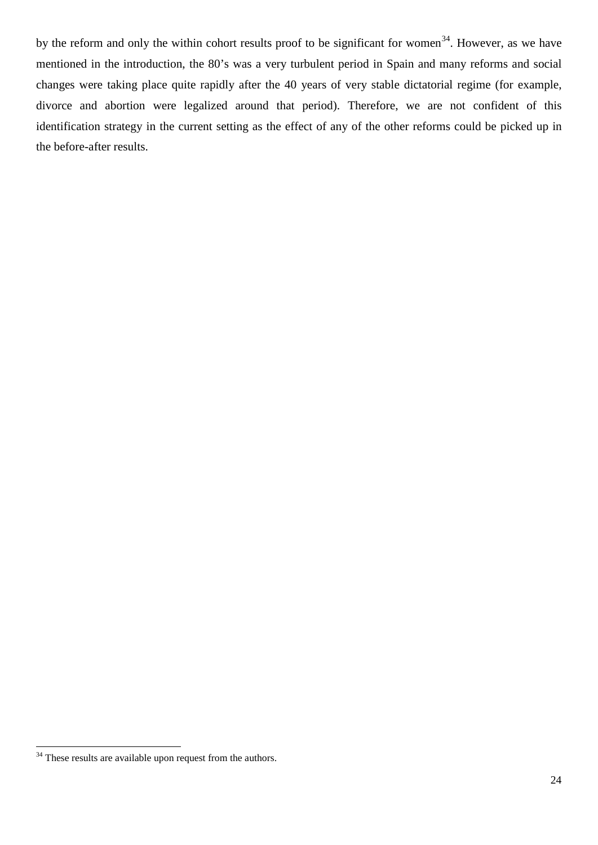by the reform and only the within cohort results proof to be significant for women<sup>[34](#page-24-2)</sup>. However, as we have mentioned in the introduction, the 80's was a very turbulent period in Spain and many reforms and social changes were taking place quite rapidly after the 40 years of very stable dictatorial regime (for example, divorce and abortion were legalized around that period). Therefore, we are not confident of this identification strategy in the current setting as the effect of any of the other reforms could be picked up in the before-after results.

<sup>&</sup>lt;sup>34</sup> These results are available upon request from the authors.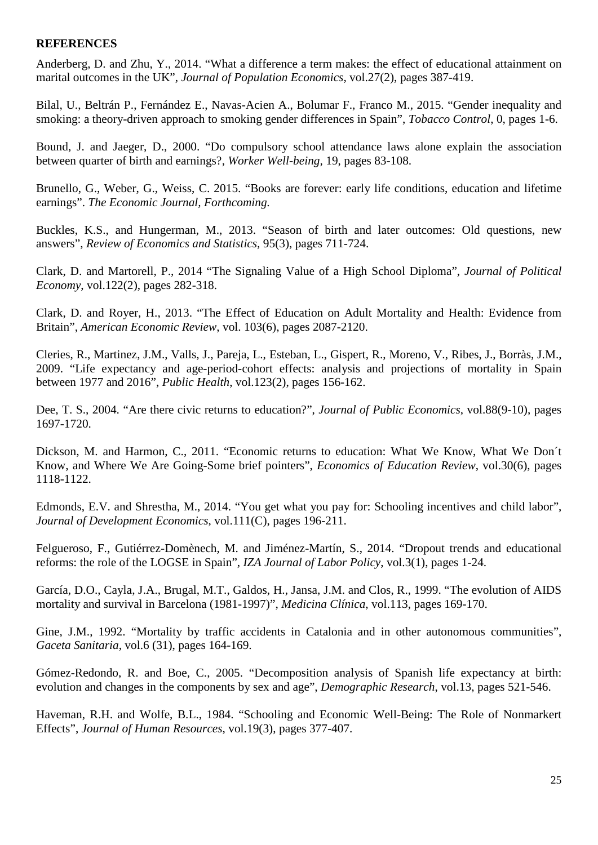#### **REFERENCES**

Anderberg, D. and Zhu, Y., 2014. "What a difference a term makes: the effect of educational attainment on marital outcomes in the UK", *Journal of Population Economics*, vol.27(2), pages 387-419.

Bilal, U., Beltrán P., Fernández E., Navas-Acien A., Bolumar F., Franco M., 2015. "Gender inequality and smoking: a theory-driven approach to smoking gender differences in Spain", *Tobacco Control*, 0, pages 1-6.

Bound, J. and Jaeger, D., 2000. "Do compulsory school attendance laws alone explain the association between quarter of birth and earnings?, *Worker Well-being,* 19, pages 83-108.

Brunello, G., Weber, G., Weiss, C. 2015. "Books are forever: early life conditions, education and lifetime earnings". *The Economic Journal, Forthcoming.*

Buckles, K.S., and Hungerman, M., 2013. "Season of birth and later outcomes: Old questions, new answers", *Review of Economics and Statistics,* 95(3), pages 711-724.

Clark, D. and Martorell, P., 2014 "The Signaling Value of a High School Diploma", *Journal of Political Economy*, vol.122(2), pages 282-318.

Clark, D. and Royer, H., 2013. "The Effect of Education on Adult Mortality and Health: Evidence from Britain", *American Economic Review*, vol. 103(6), pages 2087-2120.

Cleries, R., Martinez, J.M., Valls, J., Pareja, L., Esteban, L., Gispert, R., Moreno, V., Ribes, J., Borràs, J.M., 2009. "Life expectancy and age-period-cohort effects: analysis and projections of mortality in Spain between 1977 and 2016", *Public Health*, vol.123(2), pages 156-162.

Dee, T. S., 2004. "Are there civic returns to education?", *Journal of Public Economics*, vol.88(9-10), pages 1697-1720.

Dickson, M. and Harmon, C., 2011. "Economic returns to education: What We Know, What We Don´t Know, and Where We Are Going-Some brief pointers", *Economics of Education Review*, vol.30(6), pages 1118-1122.

Edmonds, E.V. and Shrestha, M., 2014. "You get what you pay for: Schooling incentives and child labor", *Journal of Development Economics*, vol.111(C), pages 196-211.

Felgueroso, F., Gutiérrez-Domènech, M. and Jiménez-Martín, S., 2014. "Dropout trends and educational reforms: the role of the LOGSE in Spain", *IZA Journal of Labor Policy*, vol.3(1), pages 1-24.

García, D.O., Cayla, J.A., Brugal, M.T., Galdos, H., Jansa, J.M. and Clos, R., 1999. "The evolution of AIDS mortality and survival in Barcelona (1981-1997)", *Medicina Clínica*, vol.113, pages 169-170.

Gine, J.M., 1992. "Mortality by traffic accidents in Catalonia and in other autonomous communities", *Gaceta Sanitaria*, vol.6 (31), pages 164-169.

Gómez-Redondo, R. and Boe, C., 2005. "Decomposition analysis of Spanish life expectancy at birth: evolution and changes in the components by sex and age", *Demographic Research*, vol.13, pages 521-546.

Haveman, R.H. and Wolfe, B.L., 1984. "Schooling and Economic Well-Being: The Role of Nonmarkert Effects", *Journal of Human Resources*, vol.19(3), pages 377-407.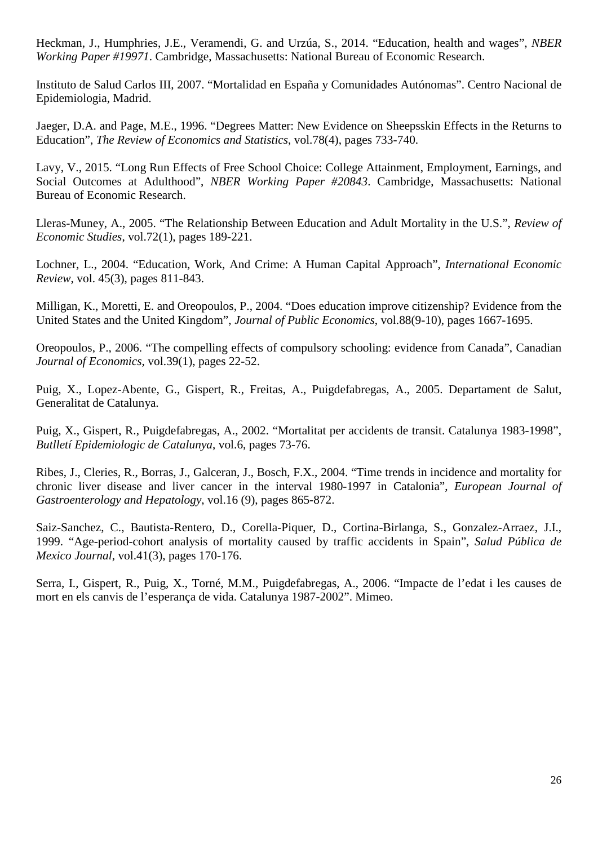Heckman, J., Humphries, J.E., Veramendi, G. and Urzúa, S., 2014. "Education, health and wages", *NBER Working Paper #19971*. Cambridge, Massachusetts: National Bureau of Economic Research.

Instituto de Salud Carlos III, 2007. "Mortalidad en España y Comunidades Autónomas". Centro Nacional de Epidemiologia, Madrid.

Jaeger, D.A. and Page, M.E., 1996. "Degrees Matter: New Evidence on Sheepsskin Effects in the Returns to Education", *The Review of Economics and Statistics*, vol.78(4), pages 733-740.

Lavy, V., 2015. "Long Run Effects of Free School Choice: College Attainment, Employment, Earnings, and Social Outcomes at Adulthood", *NBER Working Paper #20843*. Cambridge, Massachusetts: National Bureau of Economic Research.

Lleras-Muney, A., 2005. "The Relationship Between Education and Adult Mortality in the U.S.", *Review of Economic Studies*, vol.72(1), pages 189-221.

Lochner, L., 2004. "Education, Work, And Crime: A Human Capital Approach", *International Economic Review*, vol. 45(3), pages 811-843.

Milligan, K., Moretti, E. and Oreopoulos, P., 2004. "Does education improve citizenship? Evidence from the United States and the United Kingdom", *Journal of Public Economics*, vol.88(9-10), pages 1667-1695.

Oreopoulos, P., 2006. "The compelling effects of compulsory schooling: evidence from Canada", Canadian *Journal of Economics*, vol.39(1), pages 22-52.

Puig, X., Lopez-Abente, G., Gispert, R., Freitas, A., Puigdefabregas, A., 2005. Departament de Salut, Generalitat de Catalunya.

Puig, X., Gispert, R., Puigdefabregas, A., 2002. "Mortalitat per accidents de transit. Catalunya 1983-1998", *Butlletí Epidemiologic de Catalunya*, vol.6, pages 73-76.

Ribes, J., Cleries, R., Borras, J., Galceran, J., Bosch, F.X., 2004. "Time trends in incidence and mortality for chronic liver disease and liver cancer in the interval 1980-1997 in Catalonia", *European Journal of Gastroenterology and Hepatology*, vol.16 (9), pages 865-872.

Saiz-Sanchez, C., Bautista-Rentero, D., Corella-Piquer, D., Cortina-Birlanga, S., Gonzalez-Arraez, J.I., 1999. "Age-period-cohort analysis of mortality caused by traffic accidents in Spain", *Salud Pública de Mexico Journal*, vol.41(3), pages 170-176.

Serra, I., Gispert, R., Puig, X., Torné, M.M., Puigdefabregas, A., 2006. "Impacte de l'edat i les causes de mort en els canvis de l'esperança de vida. Catalunya 1987-2002". Mimeo.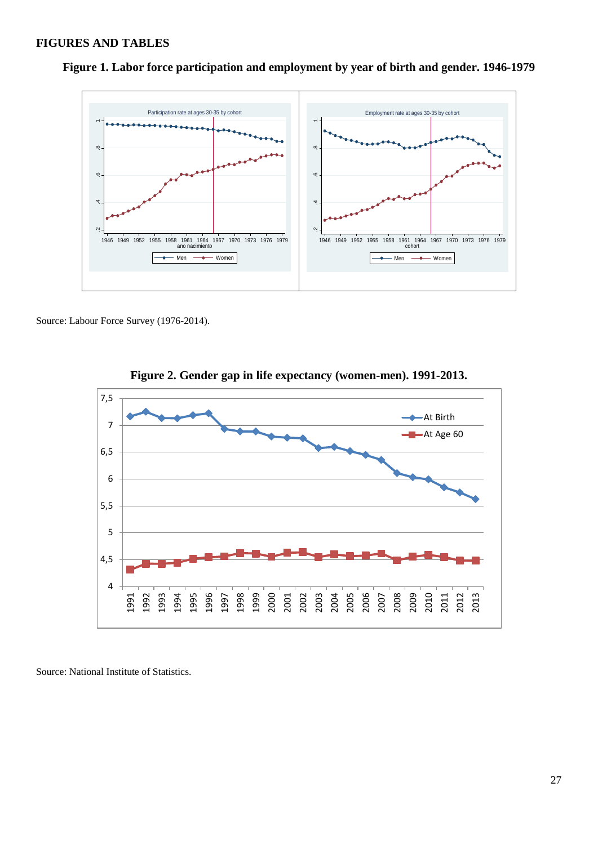#### **FIGURES AND TABLES**



**Figure 1. Labor force participation and employment by year of birth and gender. 1946-1979**

Source: Labour Force Survey (1976-2014).



**Figure 2. Gender gap in life expectancy (women-men). 1991-2013.**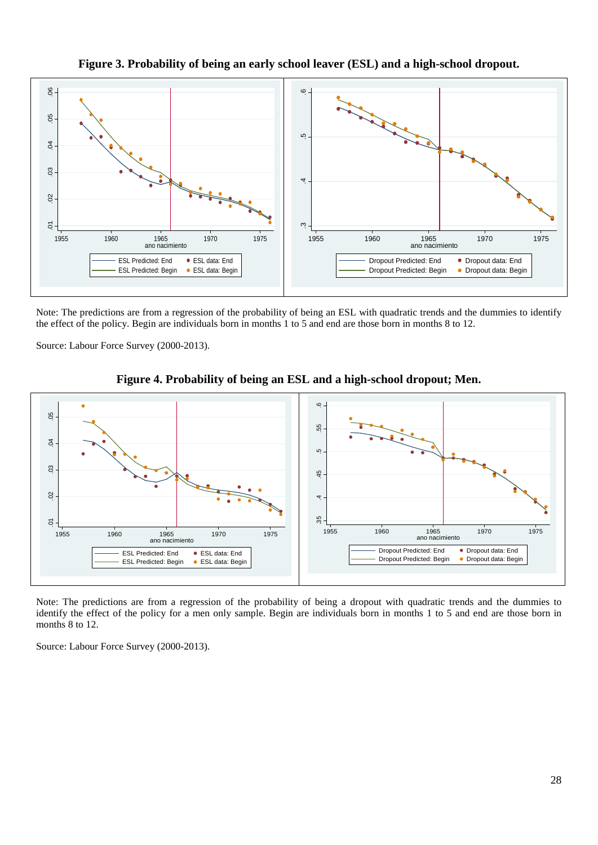



Note: The predictions are from a regression of the probability of being an ESL with quadratic trends and the dummies to identify the effect of the policy. Begin are individuals born in months 1 to 5 and end are those born in months 8 to 12.

Source: Labour Force Survey (2000-2013).





Note: The predictions are from a regression of the probability of being a dropout with quadratic trends and the dummies to identify the effect of the policy for a men only sample. Begin are individuals born in months 1 to 5 and end are those born in months 8 to 12.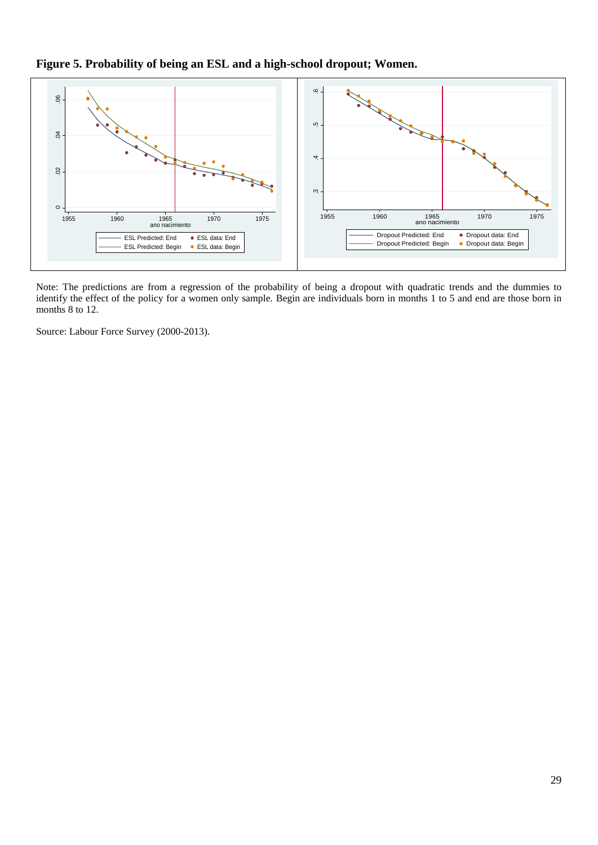**Figure 5. Probability of being an ESL and a high-school dropout; Women.**



Note: The predictions are from a regression of the probability of being a dropout with quadratic trends and the dummies to identify the effect of the policy for a women only sample. Begin are individuals born in months 1 to 5 and end are those born in months 8 to 12.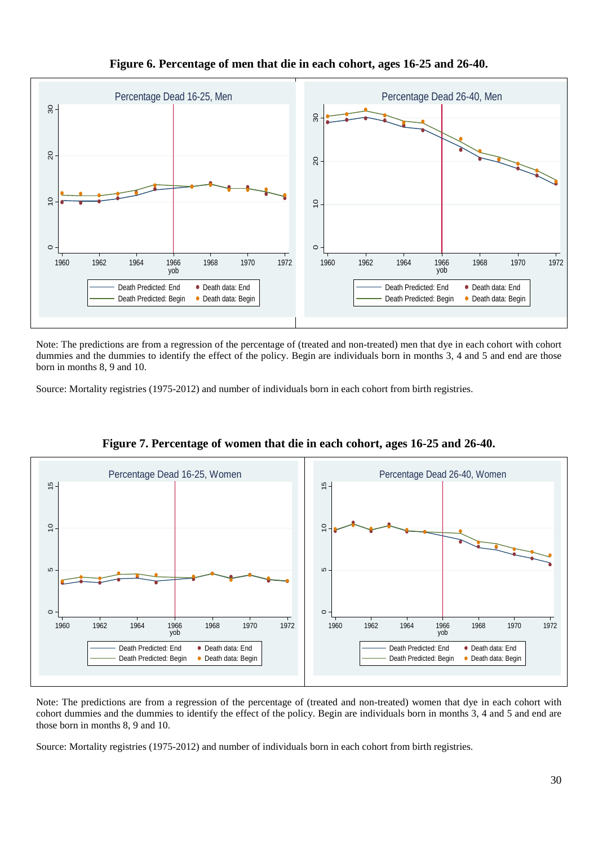

## **Figure 6. Percentage of men that die in each cohort, ages 16-25 and 26-40.**

Note: The predictions are from a regression of the percentage of (treated and non-treated) men that dye in each cohort with cohort dummies and the dummies to identify the effect of the policy. Begin are individuals born in months 3, 4 and 5 and end are those born in months 8, 9 and 10.

Source: Mortality registries (1975-2012) and number of individuals born in each cohort from birth registries.



**Figure 7. Percentage of women that die in each cohort, ages 16-25 and 26-40.**

Note: The predictions are from a regression of the percentage of (treated and non-treated) women that dye in each cohort with cohort dummies and the dummies to identify the effect of the policy. Begin are individuals born in months 3, 4 and 5 and end are those born in months 8, 9 and 10.

Source: Mortality registries (1975-2012) and number of individuals born in each cohort from birth registries.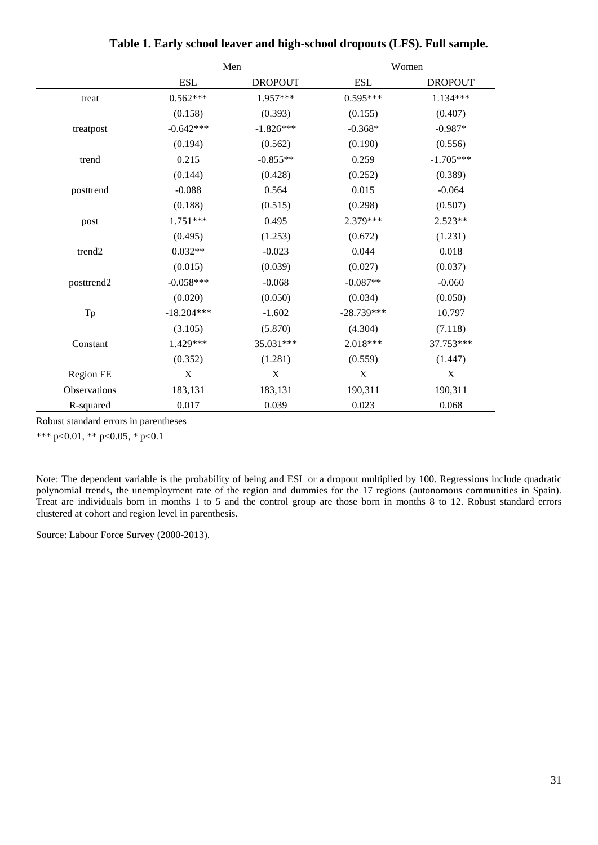|                    | Men          |                | Women        |                |  |
|--------------------|--------------|----------------|--------------|----------------|--|
|                    | <b>ESL</b>   | <b>DROPOUT</b> | <b>ESL</b>   | <b>DROPOUT</b> |  |
| treat              | $0.562***$   | 1.957***       | $0.595***$   | 1.134***       |  |
|                    | (0.158)      | (0.393)        | (0.155)      | (0.407)        |  |
| treatpost          | $-0.642***$  | $-1.826***$    | $-0.368*$    | $-0.987*$      |  |
|                    | (0.194)      | (0.562)        | (0.190)      | (0.556)        |  |
| trend              | 0.215        | $-0.855**$     | 0.259        | $-1.705***$    |  |
|                    | (0.144)      | (0.428)        | (0.252)      | (0.389)        |  |
| posttrend          | $-0.088$     | 0.564          | 0.015        | $-0.064$       |  |
|                    | (0.188)      | (0.515)        | (0.298)      | (0.507)        |  |
| post               | $1.751***$   | 0.495          | 2.379***     | 2.523**        |  |
|                    | (0.495)      | (1.253)        | (0.672)      | (1.231)        |  |
| trend <sub>2</sub> | $0.032**$    | $-0.023$       | 0.044        | 0.018          |  |
|                    | (0.015)      | (0.039)        | (0.027)      | (0.037)        |  |
| posttrend2         | $-0.058***$  | $-0.068$       | $-0.087**$   | $-0.060$       |  |
|                    | (0.020)      | (0.050)        | (0.034)      | (0.050)        |  |
| Tp                 | $-18.204***$ | $-1.602$       | $-28.739***$ | 10.797         |  |
|                    | (3.105)      | (5.870)        | (4.304)      | (7.118)        |  |
| Constant           | 1.429***     | 35.031***      | 2.018***     | 37.753***      |  |
|                    | (0.352)      | (1.281)        | (0.559)      | (1.447)        |  |
| Region FE          | X            | X              | X            | $\mathbf X$    |  |
| Observations       | 183,131      | 183,131        | 190,311      | 190,311        |  |
| R-squared          | 0.017        | 0.039          | 0.023        | 0.068          |  |

**Table 1. Early school leaver and high-school dropouts (LFS). Full sample.**

\*\*\* p<0.01, \*\* p<0.05, \* p<0.1

Note: The dependent variable is the probability of being and ESL or a dropout multiplied by 100. Regressions include quadratic polynomial trends, the unemployment rate of the region and dummies for the 17 regions (autonomous communities in Spain). Treat are individuals born in months 1 to 5 and the control group are those born in months 8 to 12. Robust standard errors clustered at cohort and region level in parenthesis.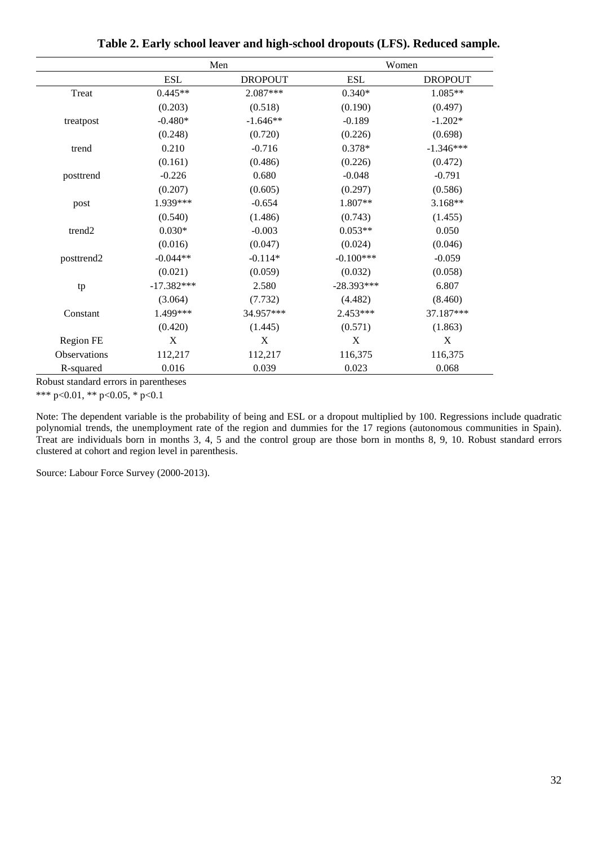|                    |              | Men            | Women        |                |  |  |
|--------------------|--------------|----------------|--------------|----------------|--|--|
|                    | <b>ESL</b>   | <b>DROPOUT</b> | <b>ESL</b>   | <b>DROPOUT</b> |  |  |
| Treat              | $0.445**$    | 2.087***       | $0.340*$     | 1.085**        |  |  |
|                    | (0.203)      | (0.518)        | (0.190)      | (0.497)        |  |  |
| treatpost          | $-0.480*$    | $-1.646**$     | $-0.189$     | $-1.202*$      |  |  |
|                    | (0.248)      | (0.720)        | (0.226)      | (0.698)        |  |  |
| trend              | 0.210        | $-0.716$       | $0.378*$     | $-1.346***$    |  |  |
|                    | (0.161)      | (0.486)        | (0.226)      | (0.472)        |  |  |
| posttrend          | $-0.226$     | 0.680          | $-0.048$     | $-0.791$       |  |  |
|                    | (0.207)      | (0.605)        | (0.297)      | (0.586)        |  |  |
| post               | 1.939***     | $-0.654$       | 1.807**      | $3.168**$      |  |  |
|                    | (0.540)      | (1.486)        | (0.743)      | (1.455)        |  |  |
| trend <sub>2</sub> | $0.030*$     | $-0.003$       | $0.053**$    | 0.050          |  |  |
|                    | (0.016)      | (0.047)        | (0.024)      | (0.046)        |  |  |
| posttrend2         | $-0.044**$   | $-0.114*$      | $-0.100***$  | $-0.059$       |  |  |
|                    | (0.021)      | (0.059)        | (0.032)      | (0.058)        |  |  |
| tp                 | $-17.382***$ | 2.580          | $-28.393***$ | 6.807          |  |  |
|                    | (3.064)      | (7.732)        | (4.482)      | (8.460)        |  |  |
| Constant           | 1.499***     | 34.957***      | 2.453***     | 37.187***      |  |  |
|                    | (0.420)      | (1.445)        | (0.571)      | (1.863)        |  |  |
| Region FE          | X            | X              | X            | $\mathbf X$    |  |  |
| Observations       | 112,217      | 112,217        | 116,375      | 116,375        |  |  |
| R-squared          | 0.016        | 0.039          | 0.023        | 0.068          |  |  |

**Table 2. Early school leaver and high-school dropouts (LFS). Reduced sample.**

\*\*\* p<0.01, \*\* p<0.05, \* p<0.1

Note: The dependent variable is the probability of being and ESL or a dropout multiplied by 100. Regressions include quadratic polynomial trends, the unemployment rate of the region and dummies for the 17 regions (autonomous communities in Spain). Treat are individuals born in months 3, 4, 5 and the control group are those born in months 8, 9, 10. Robust standard errors clustered at cohort and region level in parenthesis.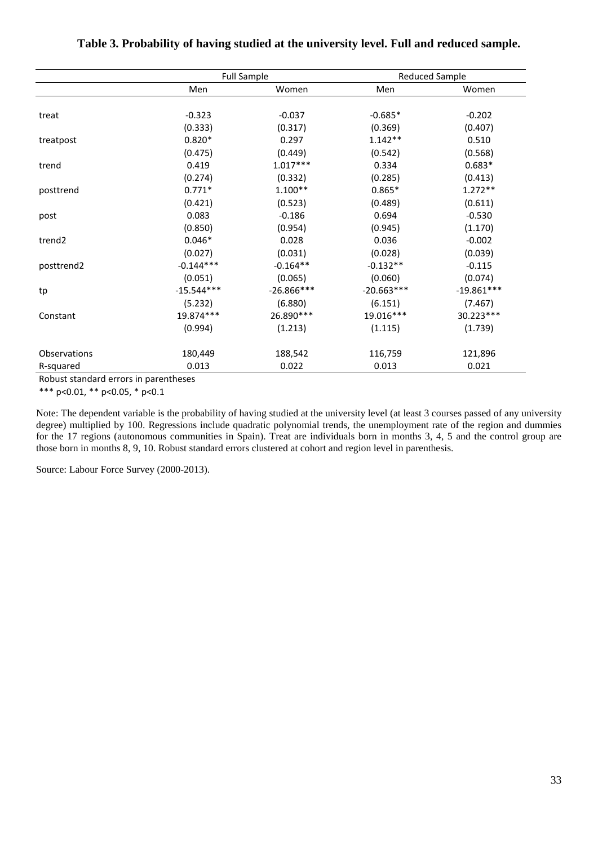|                    |              | <b>Full Sample</b> | <b>Reduced Sample</b> |              |  |
|--------------------|--------------|--------------------|-----------------------|--------------|--|
|                    | Men          | Women              | Men                   | Women        |  |
|                    |              |                    |                       |              |  |
| treat              | $-0.323$     | $-0.037$           | $-0.685*$             | $-0.202$     |  |
|                    | (0.333)      | (0.317)            | (0.369)               | (0.407)      |  |
| treatpost          | $0.820*$     | 0.297              | $1.142**$             | 0.510        |  |
|                    | (0.475)      | (0.449)            | (0.542)               | (0.568)      |  |
| trend              | 0.419        | $1.017***$         | 0.334                 | $0.683*$     |  |
|                    | (0.274)      | (0.332)            | (0.285)               | (0.413)      |  |
| posttrend          | $0.771*$     | $1.100**$          | $0.865*$              | $1.272**$    |  |
|                    | (0.421)      | (0.523)            | (0.489)               | (0.611)      |  |
| post               | 0.083        | $-0.186$           | 0.694                 | $-0.530$     |  |
|                    | (0.850)      | (0.954)            | (0.945)               | (1.170)      |  |
| trend <sub>2</sub> | $0.046*$     | 0.028              | 0.036                 | $-0.002$     |  |
|                    | (0.027)      | (0.031)            | (0.028)               | (0.039)      |  |
| posttrend2         | $-0.144***$  | $-0.164**$         | $-0.132**$            | $-0.115$     |  |
|                    | (0.051)      | (0.065)            | (0.060)               | (0.074)      |  |
| tp                 | $-15.544***$ | $-26.866***$       | $-20.663***$          | $-19.861***$ |  |
|                    | (5.232)      | (6.880)            | (6.151)               | (7.467)      |  |
| Constant           | 19.874 ***   | 26.890 ***         | 19.016***             | 30.223***    |  |
|                    | (0.994)      | (1.213)            | (1.115)               | (1.739)      |  |
| Observations       | 180,449      | 188,542            | 116,759               | 121,896      |  |
| R-squared          | 0.013        | 0.022              | 0.013                 | 0.021        |  |

#### **Table 3. Probability of having studied at the university level. Full and reduced sample.**

Robust standard errors in parentheses

\*\*\* p<0.01, \*\* p<0.05, \* p<0.1

Note: The dependent variable is the probability of having studied at the university level (at least 3 courses passed of any university degree) multiplied by 100. Regressions include quadratic polynomial trends, the unemployment rate of the region and dummies for the 17 regions (autonomous communities in Spain). Treat are individuals born in months 3, 4, 5 and the control group are those born in months 8, 9, 10. Robust standard errors clustered at cohort and region level in parenthesis.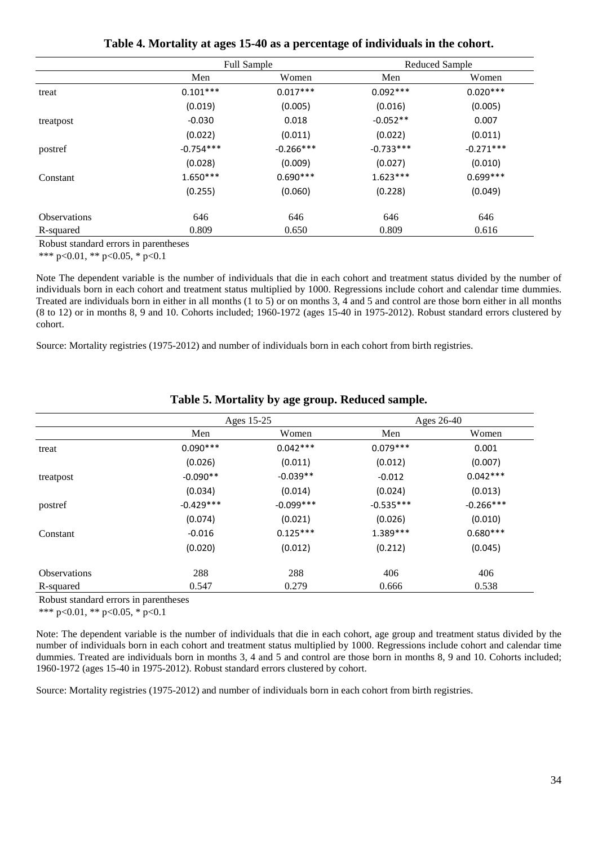| Table 4. Mortality at ages 15-40 as a percentage of individuals in the cohort. |
|--------------------------------------------------------------------------------|
|                                                                                |

|                     |             | <b>Full Sample</b> |             | Reduced Sample |
|---------------------|-------------|--------------------|-------------|----------------|
|                     | Men         | Women              | Men         | Women          |
| treat               | $0.101***$  | $0.017***$         | $0.092***$  | $0.020***$     |
|                     | (0.019)     | (0.005)            | (0.016)     | (0.005)        |
| treatpost           | $-0.030$    | 0.018              | $-0.052**$  | 0.007          |
|                     | (0.022)     | (0.011)            | (0.022)     | (0.011)        |
| postref             | $-0.754***$ | $-0.266***$        | $-0.733***$ | $-0.271***$    |
|                     | (0.028)     | (0.009)            | (0.027)     | (0.010)        |
| Constant            | $1.650***$  | $0.690***$         | $1.623***$  | $0.699***$     |
|                     | (0.255)     | (0.060)            | (0.228)     | (0.049)        |
| <b>Observations</b> | 646         | 646                | 646         | 646            |
| R-squared           | 0.809       | 0.650              | 0.809       | 0.616          |

\*\*\* p<0.01, \*\* p<0.05, \* p<0.1

Note The dependent variable is the number of individuals that die in each cohort and treatment status divided by the number of individuals born in each cohort and treatment status multiplied by 1000. Regressions include cohort and calendar time dummies. Treated are individuals born in either in all months (1 to 5) or on months 3, 4 and 5 and control are those born either in all months (8 to 12) or in months 8, 9 and 10. Cohorts included; 1960-1972 (ages 15-40 in 1975-2012). Robust standard errors clustered by cohort.

Source: Mortality registries (1975-2012) and number of individuals born in each cohort from birth registries.

|                     |             | Ages 15-25  |             | Ages 26-40  |
|---------------------|-------------|-------------|-------------|-------------|
|                     | Men         | Women       | Men         | Women       |
| treat               | $0.090***$  | $0.042***$  | $0.079***$  | 0.001       |
|                     | (0.026)     | (0.011)     | (0.012)     | (0.007)     |
| treatpost           | $-0.090**$  | $-0.039**$  | $-0.012$    | $0.042***$  |
|                     | (0.034)     | (0.014)     | (0.024)     | (0.013)     |
| postref             | $-0.429***$ | $-0.099***$ | $-0.535***$ | $-0.266***$ |
|                     | (0.074)     | (0.021)     | (0.026)     | (0.010)     |
| Constant            | $-0.016$    | $0.125***$  | $1.389***$  | $0.680***$  |
|                     | (0.020)     | (0.012)     | (0.212)     | (0.045)     |
| <b>Observations</b> | 288         | 288         | 406         | 406         |
| R-squared           | 0.547       | 0.279       | 0.666       | 0.538       |

#### **Table 5. Mortality by age group. Reduced sample.**

Robust standard errors in parentheses

\*\*\* p<0.01, \*\* p<0.05, \* p<0.1

Note: The dependent variable is the number of individuals that die in each cohort, age group and treatment status divided by the number of individuals born in each cohort and treatment status multiplied by 1000. Regressions include cohort and calendar time dummies. Treated are individuals born in months 3, 4 and 5 and control are those born in months 8, 9 and 10. Cohorts included; 1960-1972 (ages 15-40 in 1975-2012). Robust standard errors clustered by cohort.

Source: Mortality registries (1975-2012) and number of individuals born in each cohort from birth registries.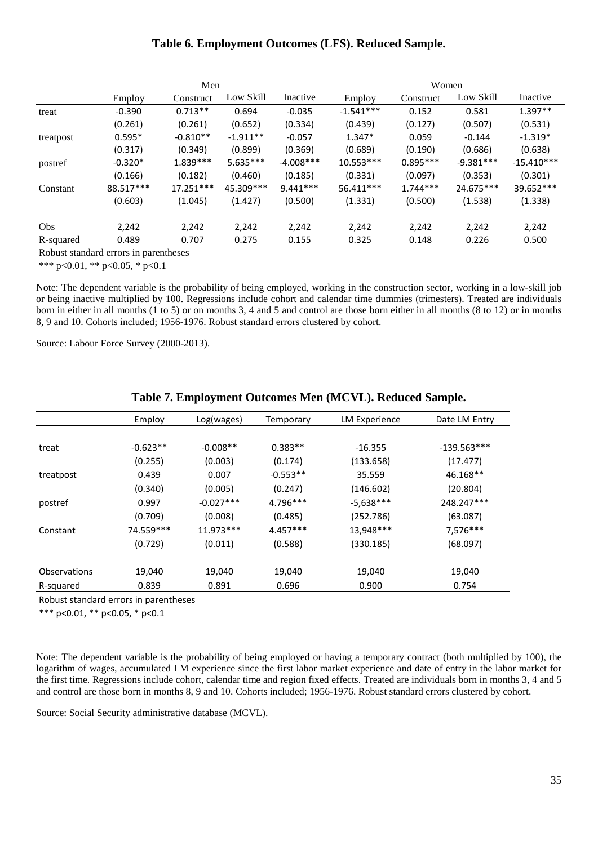#### **Table 6. Employment Outcomes (LFS). Reduced Sample.**

|            | Men       |             |            |              | Women       |            |             |              |
|------------|-----------|-------------|------------|--------------|-------------|------------|-------------|--------------|
|            | Employ    | Construct   | Low Skill  | Inactive     | Employ      | Construct  | Low Skill   | Inactive     |
| treat      | $-0.390$  | $0.713**$   | 0.694      | $-0.035$     | $-1.541***$ | 0.152      | 0.581       | $1.397**$    |
|            | (0.261)   | (0.261)     | (0.652)    | (0.334)      | (0.439)     | (0.127)    | (0.507)     | (0.531)      |
| treatpost  | $0.595*$  | $-0.810**$  | $-1.911**$ | $-0.057$     | $1.347*$    | 0.059      | $-0.144$    | $-1.319*$    |
|            | (0.317)   | (0.349)     | (0.899)    | (0.369)      | (0.689)     | (0.190)    | (0.686)     | (0.638)      |
| postref    | $-0.320*$ | $1.839***$  | $5.635***$ | $-4.008$ *** | $10.553***$ | $0.895***$ | $-9.381***$ | $-15.410***$ |
|            | (0.166)   | (0.182)     | (0.460)    | (0.185)      | (0.331)     | (0.097)    | (0.353)     | (0.301)      |
| Constant   | 88.517*** | $17.251***$ | 45.309***  | $9.441***$   | $56.411***$ | $1.744***$ | 24.675***   | $39.652***$  |
|            | (0.603)   | (1.045)     | (1.427)    | (0.500)      | (1.331)     | (0.500)    | (1.538)     | (1.338)      |
| <b>Obs</b> | 2,242     | 2,242       | 2,242      | 2,242        | 2,242       | 2,242      | 2,242       | 2,242        |
| R-squared  | 0.489     | 0.707       | 0.275      | 0.155        | 0.325       | 0.148      | 0.226       | 0.500        |

Robust standard errors in parentheses

\*\*\* p<0.01, \*\* p<0.05, \* p<0.1

Note: The dependent variable is the probability of being employed, working in the construction sector, working in a low-skill job or being inactive multiplied by 100. Regressions include cohort and calendar time dummies (trimesters). Treated are individuals born in either in all months (1 to 5) or on months 3, 4 and 5 and control are those born either in all months (8 to 12) or in months 8, 9 and 10. Cohorts included; 1956-1976. Robust standard errors clustered by cohort.

Source: Labour Force Survey (2000-2013).

|              | Employ     | Log(wages)  | Temporary  | LM Experience | Date LM Entry |
|--------------|------------|-------------|------------|---------------|---------------|
|              |            |             |            |               |               |
| treat        | $-0.623**$ | $-0.008**$  | $0.383**$  | $-16.355$     | $-139.563***$ |
|              | (0.255)    | (0.003)     | (0.174)    | (133.658)     | (17.477)      |
| treatpost    | 0.439      | 0.007       | $-0.553**$ | 35.559        | 46.168**      |
|              | (0.340)    | (0.005)     | (0.247)    | (146.602)     | (20.804)      |
| postref      | 0.997      | $-0.027***$ | 4.796***   | $-5,638***$   | 248.247***    |
|              | (0.709)    | (0.008)     | (0.485)    | (252.786)     | (63.087)      |
| Constant     | 74.559***  | $11.973***$ | $4.457***$ | 13,948***     | 7,576***      |
|              | (0.729)    | (0.011)     | (0.588)    | (330.185)     | (68.097)      |
|              |            |             |            |               |               |
| Observations | 19,040     | 19,040      | 19,040     | 19,040        | 19,040        |
| R-squared    | 0.839      | 0.891       | 0.696      | 0.900         | 0.754         |

#### **Table 7. Employment Outcomes Men (MCVL). Reduced Sample.**

Robust standard errors in parentheses

\*\*\* p<0.01, \*\* p<0.05, \* p<0.1

Note: The dependent variable is the probability of being employed or having a temporary contract (both multiplied by 100), the logarithm of wages, accumulated LM experience since the first labor market experience and date of entry in the labor market for the first time. Regressions include cohort, calendar time and region fixed effects. Treated are individuals born in months 3, 4 and 5 and control are those born in months 8, 9 and 10. Cohorts included; 1956-1976. Robust standard errors clustered by cohort.

Source: Social Security administrative database (MCVL).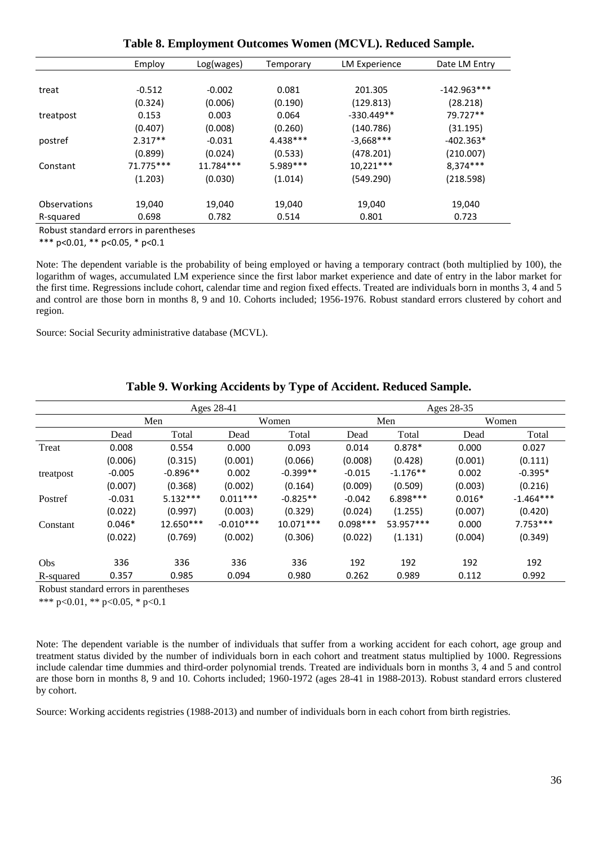|              | Employ    | Log(wages) | Temporary  | <b>LM Experience</b> | Date LM Entry |
|--------------|-----------|------------|------------|----------------------|---------------|
|              |           |            |            |                      |               |
| treat        | $-0.512$  | $-0.002$   | 0.081      | 201.305              | $-142.963***$ |
|              | (0.324)   | (0.006)    | (0.190)    | (129.813)            | (28.218)      |
| treatpost    | 0.153     | 0.003      | 0.064      | $-330.449**$         | 79.727**      |
|              | (0.407)   | (0.008)    | (0.260)    | (140.786)            | (31.195)      |
| postref      | $2.317**$ | $-0.031$   | $4.438***$ | $-3,668***$          | $-402.363*$   |
|              | (0.899)   | (0.024)    | (0.533)    | (478.201)            | (210.007)     |
| Constant     | 71.775*** | 11.784***  | $5.989***$ | $10,221***$          | $8,374***$    |
|              | (1.203)   | (0.030)    | (1.014)    | (549.290)            | (218.598)     |
|              |           |            |            |                      |               |
| Observations | 19,040    | 19,040     | 19,040     | 19,040               | 19,040        |
| R-squared    | 0.698     | 0.782      | 0.514      | 0.801                | 0.723         |

**Table 8. Employment Outcomes Women (MCVL). Reduced Sample.**

\*\*\* p<0.01, \*\* p<0.05, \* p<0.1

Note: The dependent variable is the probability of being employed or having a temporary contract (both multiplied by 100), the logarithm of wages, accumulated LM experience since the first labor market experience and date of entry in the labor market for the first time. Regressions include cohort, calendar time and region fixed effects. Treated are individuals born in months 3, 4 and 5 and control are those born in months 8, 9 and 10. Cohorts included; 1956-1976. Robust standard errors clustered by cohort and region.

Source: Social Security administrative database (MCVL).

#### **Table 9. Working Accidents by Type of Accident. Reduced Sample.**

|                                                                                            | Ages 28-41 |            |             |             | Ages 28-35 |            |          |             |
|--------------------------------------------------------------------------------------------|------------|------------|-------------|-------------|------------|------------|----------|-------------|
|                                                                                            |            | Men        |             | Women       |            | Men        |          | Women       |
|                                                                                            | Dead       | Total      | Dead        | Total       | Dead       | Total      | Dead     | Total       |
| Treat                                                                                      | 0.008      | 0.554      | 0.000       | 0.093       | 0.014      | $0.878*$   | 0.000    | 0.027       |
|                                                                                            | (0.006)    | (0.315)    | (0.001)     | (0.066)     | (0.008)    | (0.428)    | (0.001)  | (0.111)     |
| treatpost                                                                                  | $-0.005$   | $-0.896**$ | 0.002       | $-0.399**$  | $-0.015$   | $-1.176**$ | 0.002    | $-0.395*$   |
|                                                                                            | (0.007)    | (0.368)    | (0.002)     | (0.164)     | (0.009)    | (0.509)    | (0.003)  | (0.216)     |
| Postref                                                                                    | $-0.031$   | $5.132***$ | $0.011***$  | $-0.825**$  | $-0.042$   | $6.898***$ | $0.016*$ | $-1.464***$ |
|                                                                                            | (0.022)    | (0.997)    | (0.003)     | (0.329)     | (0.024)    | (1.255)    | (0.007)  | (0.420)     |
| Constant                                                                                   | $0.046*$   | 12.650***  | $-0.010***$ | $10.071***$ | $0.098***$ | 53.957***  | 0.000    | $7.753***$  |
|                                                                                            | (0.022)    | (0.769)    | (0.002)     | (0.306)     | (0.022)    | (1.131)    | (0.004)  | (0.349)     |
| Obs                                                                                        | 336        | 336        | 336         | 336         | 192        | 192        | 192      | 192         |
| R-squared                                                                                  | 0.357      | 0.985      | 0.094       | 0.980       | 0.262      | 0.989      | 0.112    | 0.992       |
| $\mathbf{D}$ $\mathbf{1}$ $\mathbf{1}$ $\mathbf{1}$ $\mathbf{1}$ $\mathbf{1}$ $\mathbf{1}$ |            |            |             |             |            |            |          |             |

Robust standard errors in parentheses

\*\*\* p<0.01, \*\* p<0.05, \* p<0.1

Note: The dependent variable is the number of individuals that suffer from a working accident for each cohort, age group and treatment status divided by the number of individuals born in each cohort and treatment status multiplied by 1000. Regressions include calendar time dummies and third-order polynomial trends. Treated are individuals born in months 3, 4 and 5 and control are those born in months 8, 9 and 10. Cohorts included; 1960-1972 (ages 28-41 in 1988-2013). Robust standard errors clustered by cohort.

Source: Working accidents registries (1988-2013) and number of individuals born in each cohort from birth registries.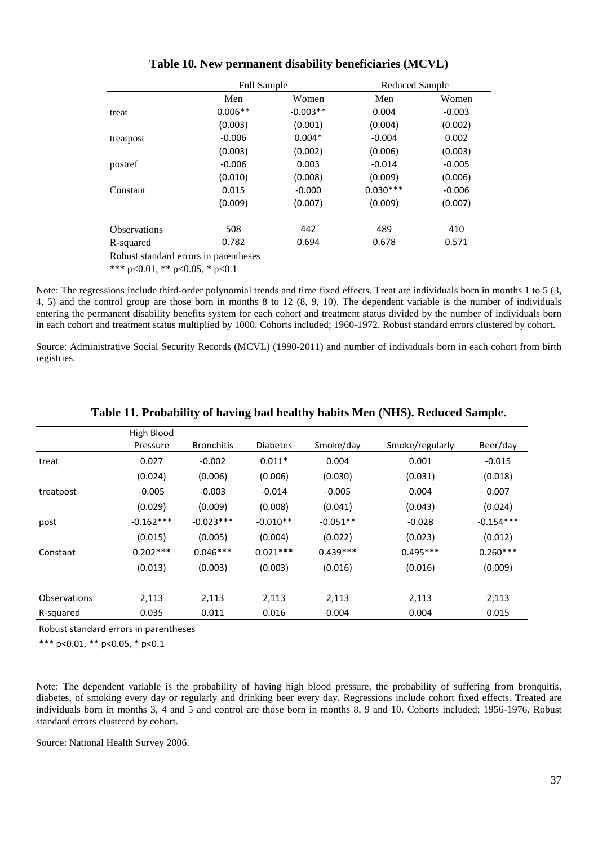|                     | <b>Full Sample</b> |            | Reduced Sample |          |
|---------------------|--------------------|------------|----------------|----------|
|                     | Men                | Women      | Men            | Women    |
| treat               | $0.006**$          | $-0.003**$ | 0.004          | $-0.003$ |
|                     | (0.003)            | (0.001)    | (0.004)        | (0.002)  |
| treatpost           | $-0.006$           | $0.004*$   | $-0.004$       | 0.002    |
|                     | (0.003)            | (0.002)    | (0.006)        | (0.003)  |
| postref             | $-0.006$           | 0.003      | $-0.014$       | $-0.005$ |
|                     | (0.010)            | (0.008)    | (0.009)        | (0.006)  |
| Constant            | 0.015              | $-0.000$   | $0.030***$     | $-0.006$ |
|                     | (0.009)            | (0.007)    | (0.009)        | (0.007)  |
| <b>Observations</b> | 508                | 442        | 489            | 410      |
| R-squared           | 0.782              | 0.694      | 0.678          | 0.571    |
|                     | $\mathbf{A}$       |            |                |          |

**Table 10. New permanent disability beneficiaries (MCVL)**

\*\*\* p<0.01, \*\* p<0.05, \* p<0.1

Note: The regressions include third-order polynomial trends and time fixed effects. Treat are individuals born in months 1 to 5 (3, 4, 5) and the control group are those born in months 8 to 12 (8, 9, 10). The dependent variable is the number of individuals entering the permanent disability benefits system for each cohort and treatment status divided by the number of individuals born in each cohort and treatment status multiplied by 1000. Cohorts included; 1960-1972. Robust standard errors clustered by cohort.

Source: Administrative Social Security Records (MCVL) (1990-2011) and number of individuals born in each cohort from birth registries.

|              | High Blood  |                   |                 |            |                 |             |
|--------------|-------------|-------------------|-----------------|------------|-----------------|-------------|
|              | Pressure    | <b>Bronchitis</b> | <b>Diabetes</b> | Smoke/day  | Smoke/regularly | Beer/day    |
| treat        | 0.027       | $-0.002$          | $0.011*$        | 0.004      | 0.001           | $-0.015$    |
|              | (0.024)     | (0.006)           | (0.006)         | (0.030)    | (0.031)         | (0.018)     |
| treatpost    | $-0.005$    | $-0.003$          | $-0.014$        | $-0.005$   | 0.004           | 0.007       |
|              | (0.029)     | (0.009)           | (0.008)         | (0.041)    | (0.043)         | (0.024)     |
| post         | $-0.162***$ | $-0.023***$       | $-0.010**$      | $-0.051**$ | $-0.028$        | $-0.154***$ |
|              | (0.015)     | (0.005)           | (0.004)         | (0.022)    | (0.023)         | (0.012)     |
| Constant     | $0.202***$  | $0.046***$        | $0.021***$      | $0.439***$ | $0.495***$      | $0.260***$  |
|              | (0.013)     | (0.003)           | (0.003)         | (0.016)    | (0.016)         | (0.009)     |
|              |             |                   |                 |            |                 |             |
| Observations | 2,113       | 2,113             | 2,113           | 2,113      | 2,113           | 2,113       |
| R-squared    | 0.035       | 0.011             | 0.016           | 0.004      | 0.004           | 0.015       |

#### **Table 11. Probability of having bad healthy habits Men (NHS). Reduced Sample.**

Robust standard errors in parentheses

\*\*\* p<0.01, \*\* p<0.05, \* p<0.1

Note: The dependent variable is the probability of having high blood pressure, the probability of suffering from bronquitis, diabetes, of smoking every day or regularly and drinking beer every day. Regressions include cohort fixed effects. Treated are individuals born in months 3, 4 and 5 and control are those born in months 8, 9 and 10. Cohorts included; 1956-1976. Robust standard errors clustered by cohort.

Source: National Health Survey 2006.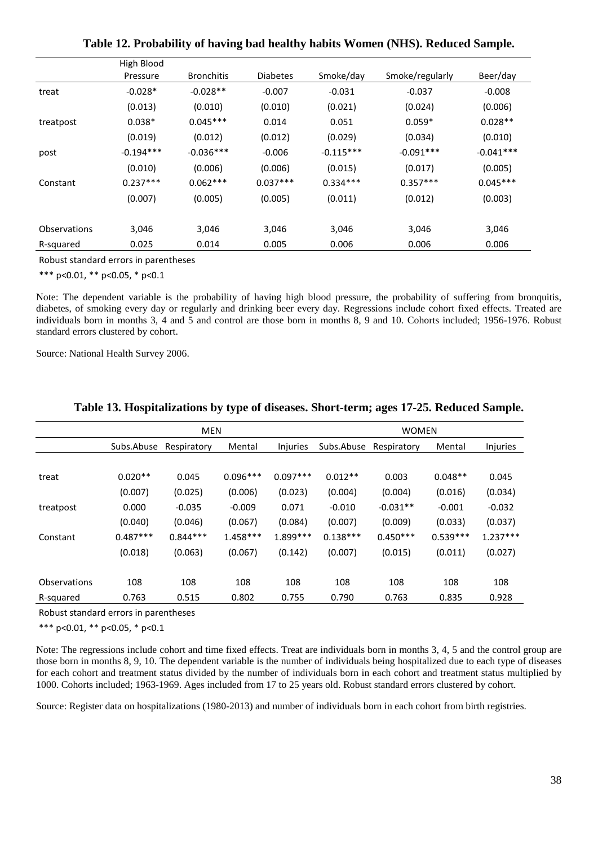|              | High Blood  |                   |                 |             |                 |             |
|--------------|-------------|-------------------|-----------------|-------------|-----------------|-------------|
|              | Pressure    | <b>Bronchitis</b> | <b>Diabetes</b> | Smoke/day   | Smoke/regularly | Beer/day    |
| treat        | $-0.028*$   | $-0.028**$        | $-0.007$        | $-0.031$    | $-0.037$        | $-0.008$    |
|              | (0.013)     | (0.010)           | (0.010)         | (0.021)     | (0.024)         | (0.006)     |
| treatpost    | $0.038*$    | $0.045***$        | 0.014           | 0.051       | $0.059*$        | $0.028**$   |
|              | (0.019)     | (0.012)           | (0.012)         | (0.029)     | (0.034)         | (0.010)     |
| post         | $-0.194***$ | $-0.036***$       | $-0.006$        | $-0.115***$ | $-0.091***$     | $-0.041***$ |
|              | (0.010)     | (0.006)           | (0.006)         | (0.015)     | (0.017)         | (0.005)     |
| Constant     | $0.237***$  | $0.062***$        | $0.037***$      | $0.334***$  | $0.357***$      | $0.045***$  |
|              | (0.007)     | (0.005)           | (0.005)         | (0.011)     | (0.012)         | (0.003)     |
| Observations | 3,046       | 3,046             | 3,046           | 3,046       | 3,046           | 3,046       |
| R-squared    | 0.025       | 0.014             | 0.005           | 0.006       | 0.006           | 0.006       |

**Table 12. Probability of having bad healthy habits Women (NHS). Reduced Sample.**

\*\*\* p<0.01, \*\* p<0.05, \* p<0.1

Note: The dependent variable is the probability of having high blood pressure, the probability of suffering from bronquitis, diabetes, of smoking every day or regularly and drinking beer every day. Regressions include cohort fixed effects. Treated are individuals born in months 3, 4 and 5 and control are those born in months 8, 9 and 10. Cohorts included; 1956-1976. Robust standard errors clustered by cohort.

Source: National Health Survey 2006.

|              | <b>MEN</b> |             |            |            | <b>WOMEN</b> |             |            |            |
|--------------|------------|-------------|------------|------------|--------------|-------------|------------|------------|
|              | Subs.Abuse | Respiratory | Mental     | Injuries   | Subs.Abuse   | Respiratory | Mental     | Injuries   |
|              |            |             |            |            |              |             |            |            |
| treat        | $0.020**$  | 0.045       | $0.096***$ | $0.097***$ | $0.012**$    | 0.003       | $0.048**$  | 0.045      |
|              | (0.007)    | (0.025)     | (0.006)    | (0.023)    | (0.004)      | (0.004)     | (0.016)    | (0.034)    |
| treatpost    | 0.000      | $-0.035$    | $-0.009$   | 0.071      | $-0.010$     | $-0.031**$  | $-0.001$   | $-0.032$   |
|              | (0.040)    | (0.046)     | (0.067)    | (0.084)    | (0.007)      | (0.009)     | (0.033)    | (0.037)    |
| Constant     | $0.487***$ | $0.844***$  | $1.458***$ | $1.899***$ | $0.138***$   | $0.450***$  | $0.539***$ | $1.237***$ |
|              | (0.018)    | (0.063)     | (0.067)    | (0.142)    | (0.007)      | (0.015)     | (0.011)    | (0.027)    |
|              |            |             |            |            |              |             |            |            |
| Observations | 108        | 108         | 108        | 108        | 108          | 108         | 108        | 108        |
| R-squared    | 0.763      | 0.515       | 0.802      | 0.755      | 0.790        | 0.763       | 0.835      | 0.928      |

#### **Table 13. Hospitalizations by type of diseases. Short-term; ages 17-25. Reduced Sample.**

Robust standard errors in parentheses

\*\*\* p<0.01, \*\* p<0.05, \* p<0.1

Note: The regressions include cohort and time fixed effects. Treat are individuals born in months 3, 4, 5 and the control group are those born in months 8, 9, 10. The dependent variable is the number of individuals being hospitalized due to each type of diseases for each cohort and treatment status divided by the number of individuals born in each cohort and treatment status multiplied by 1000. Cohorts included; 1963-1969. Ages included from 17 to 25 years old. Robust standard errors clustered by cohort.

Source: Register data on hospitalizations (1980-2013) and number of individuals born in each cohort from birth registries.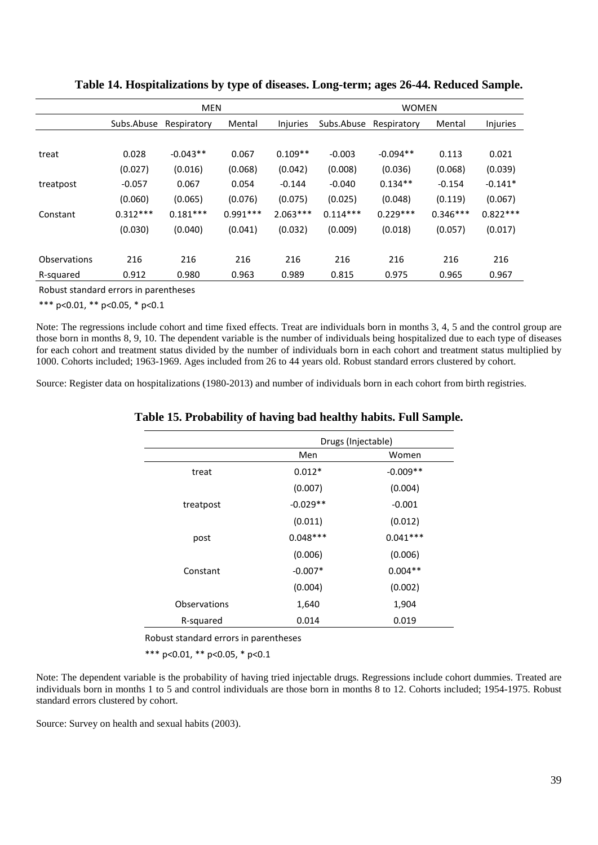|              | <b>MEN</b> |             |            |                 | <b>WOMEN</b> |             |            |            |
|--------------|------------|-------------|------------|-----------------|--------------|-------------|------------|------------|
|              | Subs.Abuse | Respiratory | Mental     | <b>Injuries</b> | Subs.Abuse   | Respiratory | Mental     | Injuries   |
|              |            |             |            |                 |              |             |            |            |
| treat        | 0.028      | $-0.043**$  | 0.067      | $0.109**$       | $-0.003$     | $-0.094**$  | 0.113      | 0.021      |
|              | (0.027)    | (0.016)     | (0.068)    | (0.042)         | (0.008)      | (0.036)     | (0.068)    | (0.039)    |
| treatpost    | $-0.057$   | 0.067       | 0.054      | $-0.144$        | $-0.040$     | $0.134**$   | $-0.154$   | $-0.141*$  |
|              | (0.060)    | (0.065)     | (0.076)    | (0.075)         | (0.025)      | (0.048)     | (0.119)    | (0.067)    |
| Constant     | $0.312***$ | $0.181***$  | $0.991***$ | $2.063***$      | $0.114***$   | $0.229***$  | $0.346***$ | $0.822***$ |
|              | (0.030)    | (0.040)     | (0.041)    | (0.032)         | (0.009)      | (0.018)     | (0.057)    | (0.017)    |
|              |            |             |            |                 |              |             |            |            |
| Observations | 216        | 216         | 216        | 216             | 216          | 216         | 216        | 216        |
| R-squared    | 0.912      | 0.980       | 0.963      | 0.989           | 0.815        | 0.975       | 0.965      | 0.967      |

**Table 14. Hospitalizations by type of diseases. Long-term; ages 26-44. Reduced Sample.**

\*\*\* p<0.01, \*\* p<0.05, \* p<0.1

Note: The regressions include cohort and time fixed effects. Treat are individuals born in months 3, 4, 5 and the control group are those born in months 8, 9, 10. The dependent variable is the number of individuals being hospitalized due to each type of diseases for each cohort and treatment status divided by the number of individuals born in each cohort and treatment status multiplied by 1000. Cohorts included; 1963-1969. Ages included from 26 to 44 years old. Robust standard errors clustered by cohort.

Source: Register data on hospitalizations (1980-2013) and number of individuals born in each cohort from birth registries.

#### **Table 15. Probability of having bad healthy habits. Full Sample.**

|              | Drugs (Injectable) |            |  |  |  |
|--------------|--------------------|------------|--|--|--|
|              | Men                | Women      |  |  |  |
| treat        | $0.012*$           | $-0.009**$ |  |  |  |
|              | (0.007)            | (0.004)    |  |  |  |
| treatpost    | $-0.029**$         | $-0.001$   |  |  |  |
|              | (0.011)            | (0.012)    |  |  |  |
| post         | $0.048***$         | $0.041***$ |  |  |  |
|              | (0.006)            | (0.006)    |  |  |  |
| Constant     | $-0.007*$          | $0.004**$  |  |  |  |
|              | (0.004)            | (0.002)    |  |  |  |
| Observations | 1,640              | 1,904      |  |  |  |
| R-squared    | 0.014              | 0.019      |  |  |  |

Robust standard errors in parentheses

\*\*\* p<0.01, \*\* p<0.05, \* p<0.1

Note: The dependent variable is the probability of having tried injectable drugs. Regressions include cohort dummies. Treated are individuals born in months 1 to 5 and control individuals are those born in months 8 to 12. Cohorts included; 1954-1975. Robust standard errors clustered by cohort.

Source: Survey on health and sexual habits (2003).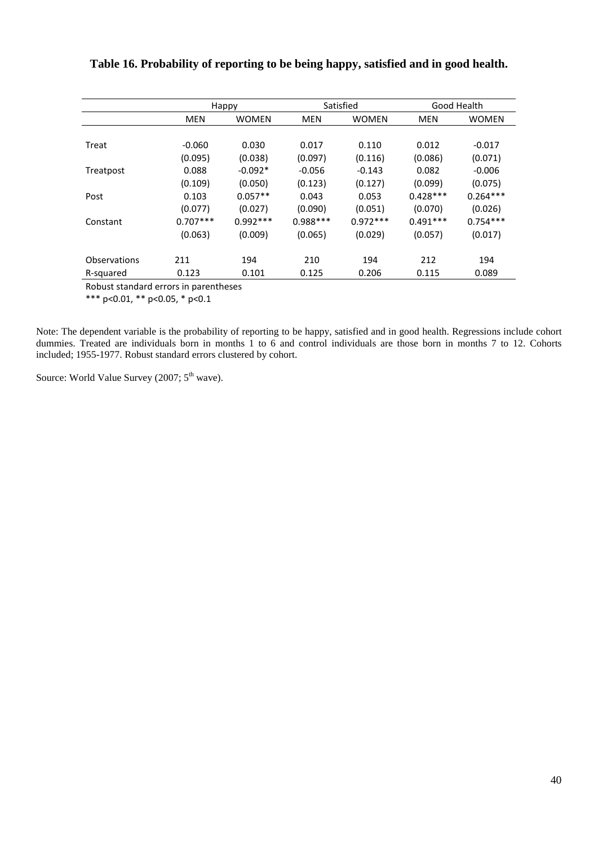| <b>MEN</b><br><b>WOMEN</b><br>$-0.060$<br>0.030<br>(0.095)<br>(0.038)<br>0.088<br>$-0.092*$ | <b>MEN</b><br>0.017<br>(0.097)   | <b>WOMEN</b><br>0.110 | <b>MEN</b><br>0.012 | <b>WOMEN</b><br>$-0.017$ |
|---------------------------------------------------------------------------------------------|----------------------------------|-----------------------|---------------------|--------------------------|
|                                                                                             |                                  |                       |                     |                          |
|                                                                                             |                                  |                       |                     |                          |
|                                                                                             |                                  |                       |                     |                          |
|                                                                                             |                                  | (0.116)               | (0.086)             | (0.071)                  |
|                                                                                             | $-0.056$                         | $-0.143$              | 0.082               | $-0.006$                 |
| (0.109)<br>(0.050)                                                                          | (0.123)                          | (0.127)               | (0.099)             | (0.075)                  |
| $0.057**$<br>0.103                                                                          | 0.043                            | 0.053                 | $0.428***$          | $0.264***$               |
| (0.027)                                                                                     | (0.090)                          | (0.051)               | (0.070)             | (0.026)                  |
|                                                                                             |                                  | $0.972***$            | $0.491***$          | $0.754***$               |
| (0.009)                                                                                     | (0.065)                          | (0.029)               | (0.057)             | (0.017)                  |
| 194                                                                                         | 210                              | 194                   | 212                 | 194                      |
| 0.101                                                                                       | 0.125                            | 0.206                 | 0.115               | 0.089                    |
|                                                                                             | (0.077)<br>$0.707***$<br>(0.063) | $0.992***$            | $0.988***$          |                          |

## **Table 16. Probability of reporting to be being happy, satisfied and in good health.**

Robust standard errors in parentheses

\*\*\* p<0.01, \*\* p<0.05, \* p<0.1

Note: The dependent variable is the probability of reporting to be happy, satisfied and in good health. Regressions include cohort dummies. Treated are individuals born in months 1 to 6 and control individuals are those born in months 7 to 12. Cohorts included; 1955-1977. Robust standard errors clustered by cohort.

Source: World Value Survey (2007; 5<sup>th</sup> wave).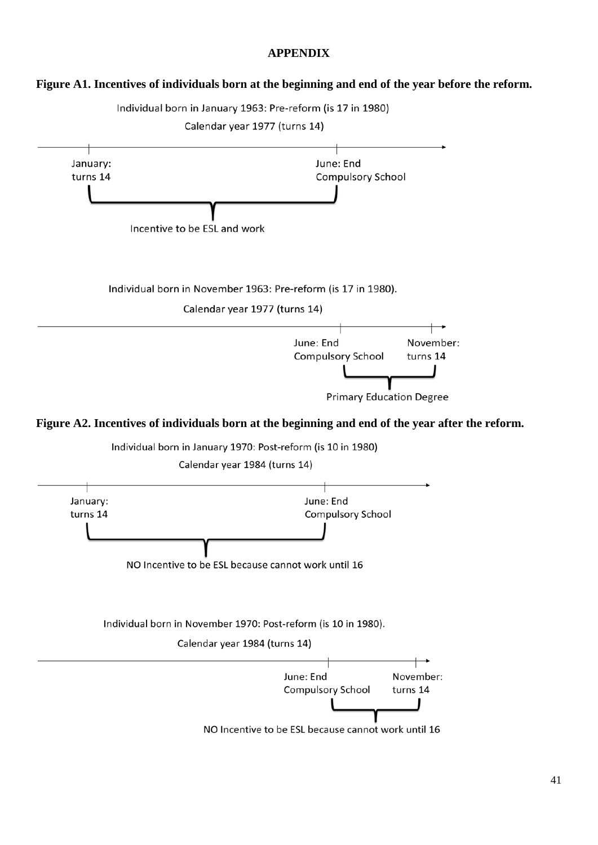#### **APPENDIX**

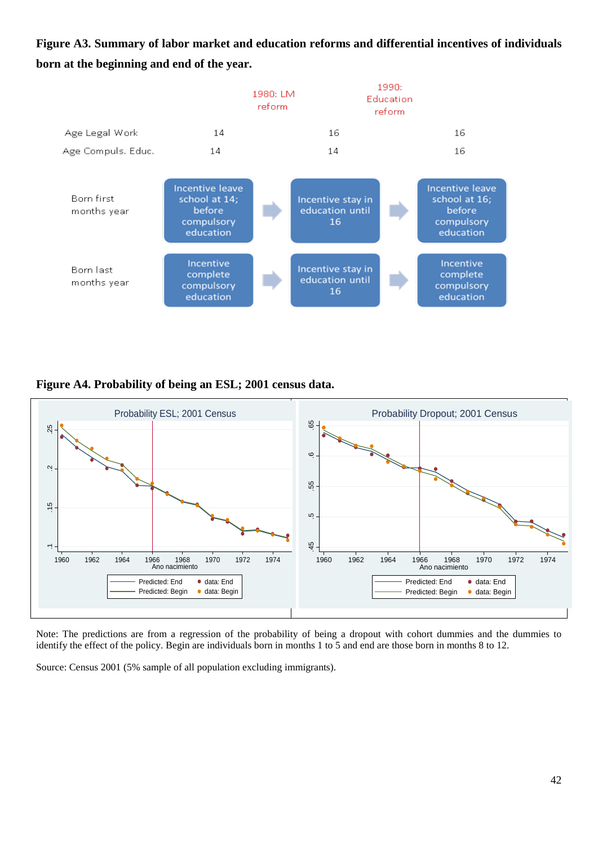**Figure A3. Summary of labor market and education reforms and differential incentives of individuals born at the beginning and end of the year.**



**Figure A4. Probability of being an ESL; 2001 census data.**



Note: The predictions are from a regression of the probability of being a dropout with cohort dummies and the dummies to identify the effect of the policy. Begin are individuals born in months 1 to 5 and end are those born in months 8 to 12.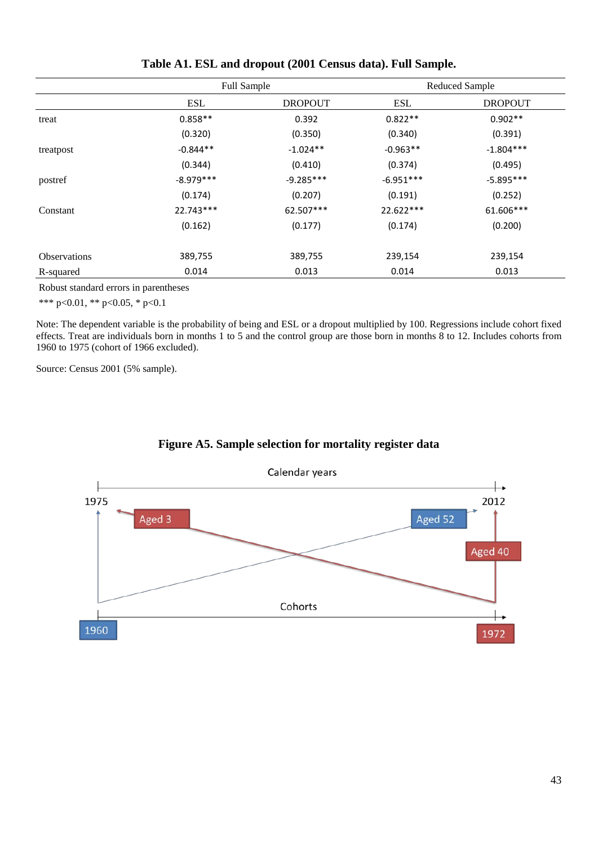|                     | <b>Full Sample</b> |                | <b>Reduced Sample</b> |                |  |
|---------------------|--------------------|----------------|-----------------------|----------------|--|
|                     | <b>ESL</b>         | <b>DROPOUT</b> | ESL                   | <b>DROPOUT</b> |  |
| treat               | $0.858**$          | 0.392          | $0.822**$             | $0.902**$      |  |
|                     | (0.320)            | (0.350)        | (0.340)               | (0.391)        |  |
| treatpost           | $-0.844**$         | $-1.024**$     | $-0.963**$            | $-1.804***$    |  |
|                     | (0.344)            | (0.410)        | (0.374)               | (0.495)        |  |
| postref             | $-8.979***$        | $-9.285***$    | $-6.951***$           | $-5.895***$    |  |
|                     | (0.174)            | (0.207)        | (0.191)               | (0.252)        |  |
| Constant            | 22.743***          | 62.507***      | 22.622***             | 61.606***      |  |
|                     | (0.162)            | (0.177)        | (0.174)               | (0.200)        |  |
| <b>Observations</b> | 389,755            | 389,755        | 239,154               | 239,154        |  |
| R-squared           | 0.014              | 0.013          | 0.014                 | 0.013          |  |

#### **Table A1. ESL and dropout (2001 Census data). Full Sample.**

Robust standard errors in parentheses

\*\*\* p<0.01, \*\* p<0.05, \* p<0.1

Note: The dependent variable is the probability of being and ESL or a dropout multiplied by 100. Regressions include cohort fixed effects. Treat are individuals born in months 1 to 5 and the control group are those born in months 8 to 12. Includes cohorts from 1960 to 1975 (cohort of 1966 excluded).

Source: Census 2001 (5% sample).



### **Figure A5. Sample selection for mortality register data**